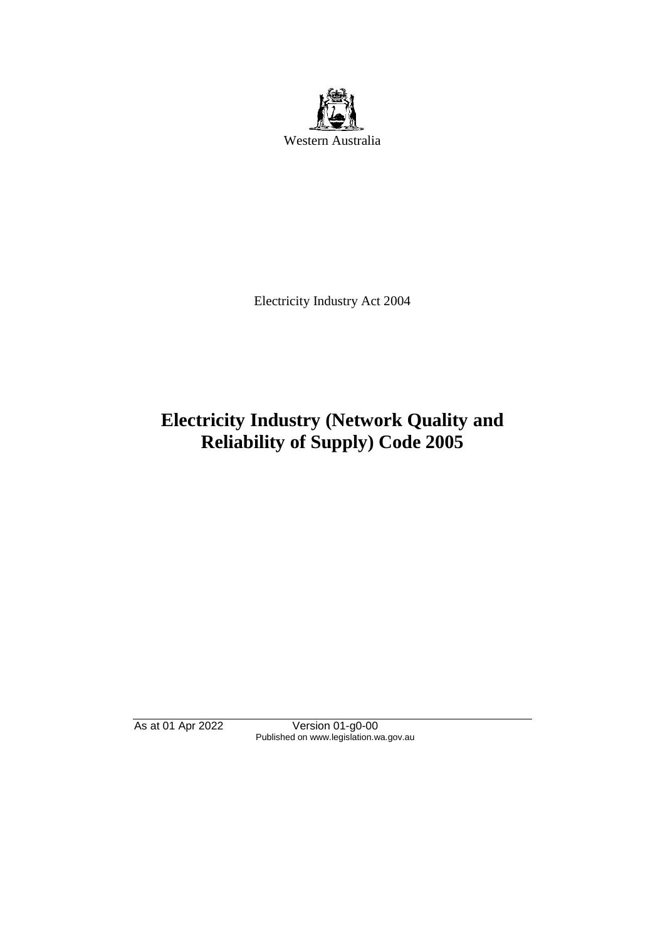

Electricity Industry Act 2004

# **Electricity Industry (Network Quality and Reliability of Supply) Code 2005**

As at 01 Apr 2022 Version 01-g0-00 Published on www.legislation.wa.gov.au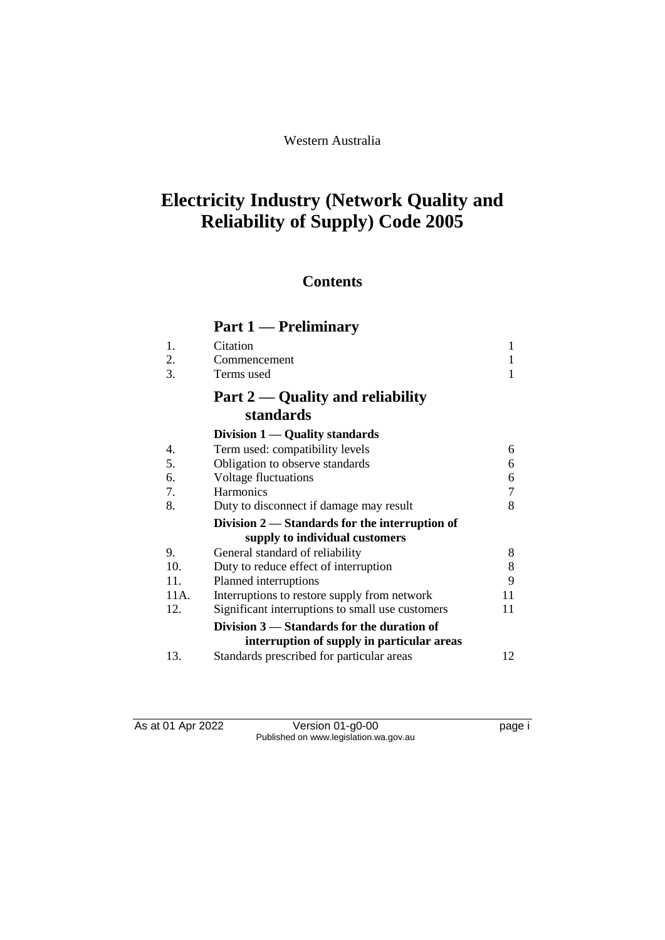#### Western Australia

# **Electricity Industry (Network Quality and Reliability of Supply) Code 2005**

## **Contents**

## **Part 1 — Preliminary**

| 1.   | Citation                                         | 1  |
|------|--------------------------------------------------|----|
| 2.   | Commencement                                     | 1  |
| 3.   | Terms used                                       |    |
|      | Part $2$ — Quality and reliability               |    |
|      | standards                                        |    |
|      | Division 1 — Quality standards                   |    |
| 4.   | Term used: compatibility levels                  | 6  |
| 5.   | Obligation to observe standards                  | 6  |
| 6.   | Voltage fluctuations                             | 6  |
| 7.   | <b>Harmonics</b>                                 | 7  |
| 8.   | Duty to disconnect if damage may result          | 8  |
|      | Division $2$ — Standards for the interruption of |    |
|      | supply to individual customers                   |    |
| 9.   | General standard of reliability                  | 8  |
| 10.  | Duty to reduce effect of interruption            | 8  |
| 11.  | Planned interruptions                            | 9  |
| 11A. | Interruptions to restore supply from network     | 11 |
| 12.  | Significant interruptions to small use customers | 11 |
|      | Division 3 — Standards for the duration of       |    |
|      | interruption of supply in particular areas       |    |
| 13.  | Standards prescribed for particular areas        | 12 |

As at 01 Apr 2022 Version 01-g0-00 Page i Published on www.legislation.wa.gov.au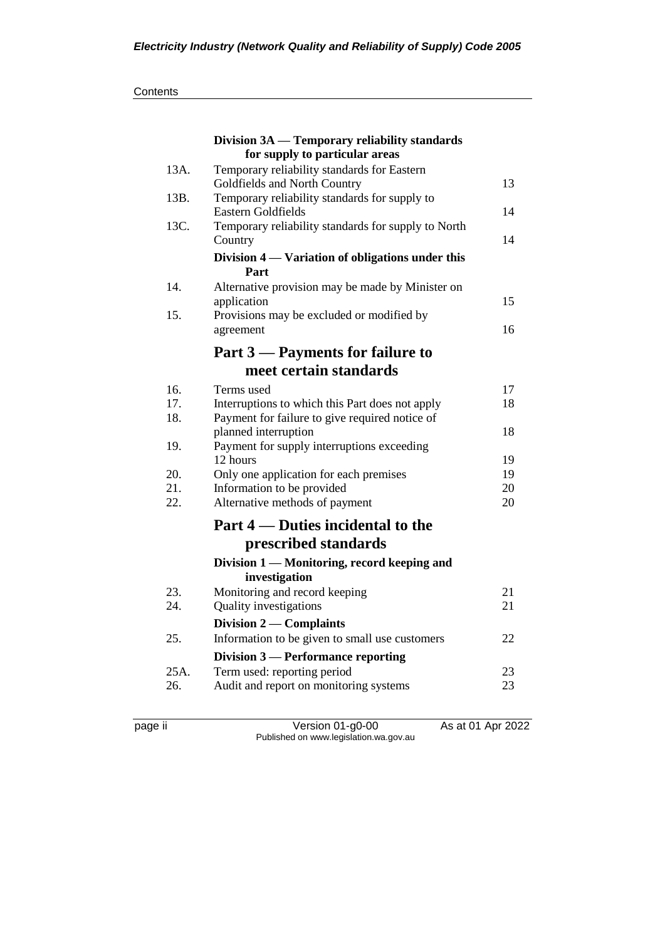|      | Division 3A — Temporary reliability standards                  |    |
|------|----------------------------------------------------------------|----|
|      | for supply to particular areas                                 |    |
| 13A. | Temporary reliability standards for Eastern                    |    |
|      | Goldfields and North Country                                   | 13 |
| 13B. | Temporary reliability standards for supply to                  |    |
|      | Eastern Goldfields                                             | 14 |
| 13C. | Temporary reliability standards for supply to North<br>Country | 14 |
|      | Division 4 — Variation of obligations under this               |    |
|      | Part                                                           |    |
| 14.  | Alternative provision may be made by Minister on               |    |
|      | application                                                    | 15 |
| 15.  | Provisions may be excluded or modified by                      |    |
|      | agreement                                                      | 16 |
|      | Part 3 – Payments for failure to                               |    |
|      | meet certain standards                                         |    |
| 16.  | Terms used                                                     | 17 |
| 17.  | Interruptions to which this Part does not apply                | 18 |
| 18.  | Payment for failure to give required notice of                 |    |
|      | planned interruption                                           | 18 |
| 19.  | Payment for supply interruptions exceeding                     |    |
|      | 12 hours                                                       | 19 |
| 20.  | Only one application for each premises                         | 19 |
| 21.  | Information to be provided                                     | 20 |
| 22.  | Alternative methods of payment                                 | 20 |
|      | Part 4 — Duties incidental to the                              |    |
|      | prescribed standards                                           |    |
|      | Division 1 — Monitoring, record keeping and                    |    |
|      | investigation                                                  |    |
| 23.  | Monitoring and record keeping                                  | 21 |
| 24.  | <b>Quality investigations</b>                                  | 21 |
|      | Division 2 — Complaints                                        |    |
| 25.  | Information to be given to small use customers                 | 22 |
|      | Division 3 - Performance reporting                             |    |
| 25A. | Term used: reporting period                                    | 23 |
| 26.  | Audit and report on monitoring systems                         | 23 |
|      |                                                                |    |

page ii Version 01-g0-00 As at 01 Apr 2022 Published on www.legislation.wa.gov.au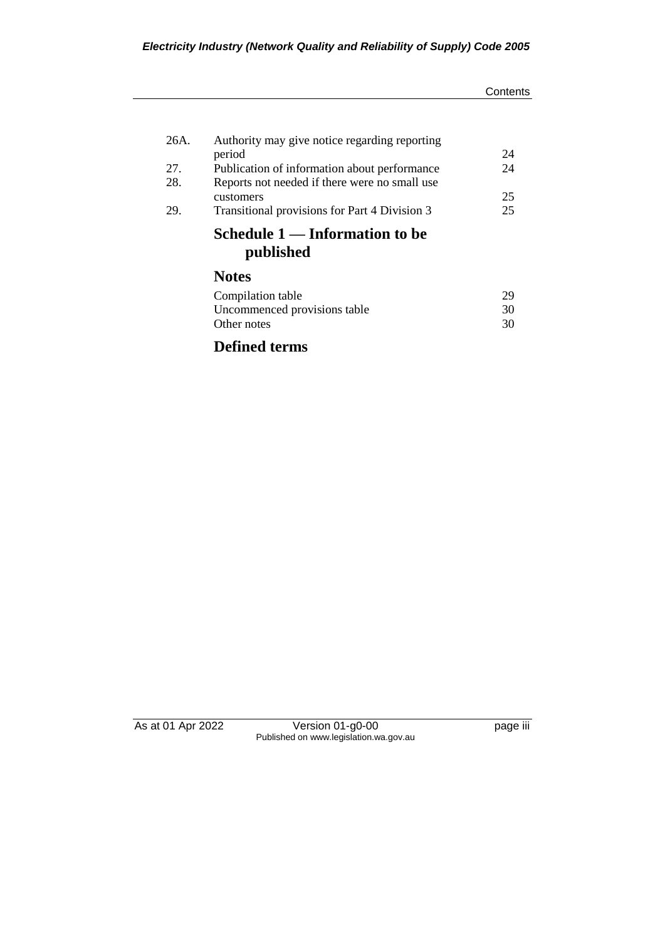#### **Contents**

| 26A. | Authority may give notice regarding reporting |    |
|------|-----------------------------------------------|----|
|      | period                                        | 24 |
| 27.  | Publication of information about performance  | 24 |
| 28.  | Reports not needed if there were no small use |    |
|      | customers                                     | 25 |
| 29.  | Transitional provisions for Part 4 Division 3 | 25 |
|      | Schedule 1 — Information to be<br>published   |    |
|      | <b>Notes</b>                                  |    |
|      | Compilation table                             | 29 |
|      | Uncommenced provisions table                  | 30 |
|      | Other notes                                   | 30 |
|      |                                               |    |

## **Defined terms**

As at 01 Apr 2022 Version 01-g0-00 page iii Published on www.legislation.wa.gov.au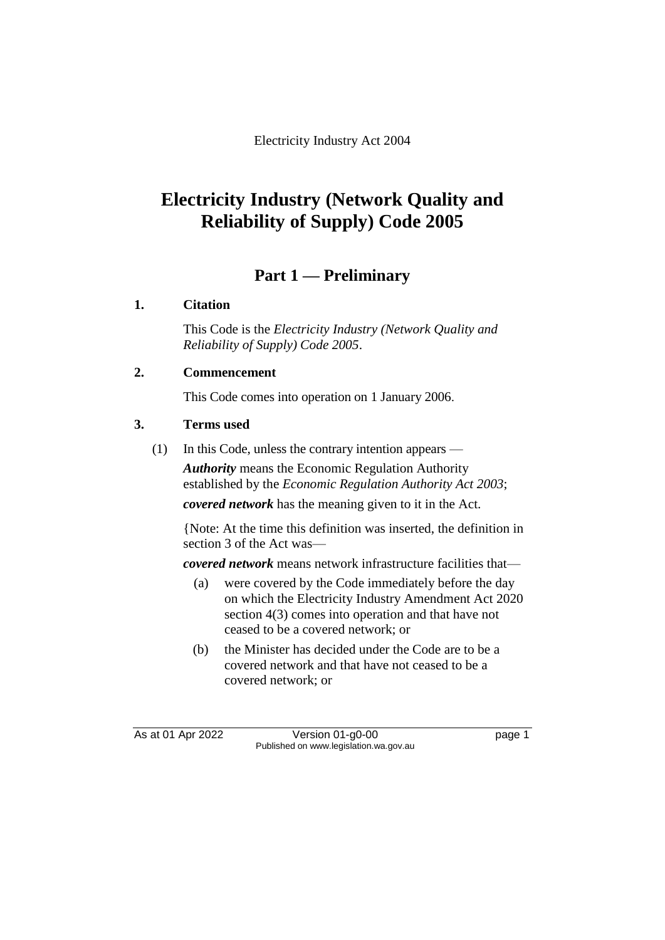Electricity Industry Act 2004

# **Electricity Industry (Network Quality and Reliability of Supply) Code 2005**

## **Part 1 — Preliminary**

#### **1. Citation**

This Code is the *Electricity Industry (Network Quality and Reliability of Supply) Code 2005*.

#### **2. Commencement**

This Code comes into operation on 1 January 2006.

#### **3. Terms used**

(1) In this Code, unless the contrary intention appears —

*Authority* means the Economic Regulation Authority established by the *Economic Regulation Authority Act 2003*; *covered network* has the meaning given to it in the Act.

{Note: At the time this definition was inserted, the definition in section 3 of the Act was—

*covered network* means network infrastructure facilities that—

- (a) were covered by the Code immediately before the day on which the Electricity Industry Amendment Act 2020 section 4(3) comes into operation and that have not ceased to be a covered network; or
- (b) the Minister has decided under the Code are to be a covered network and that have not ceased to be a covered network; or

As at 01 Apr 2022 Version 01-g0-00 Page 1 Published on www.legislation.wa.gov.au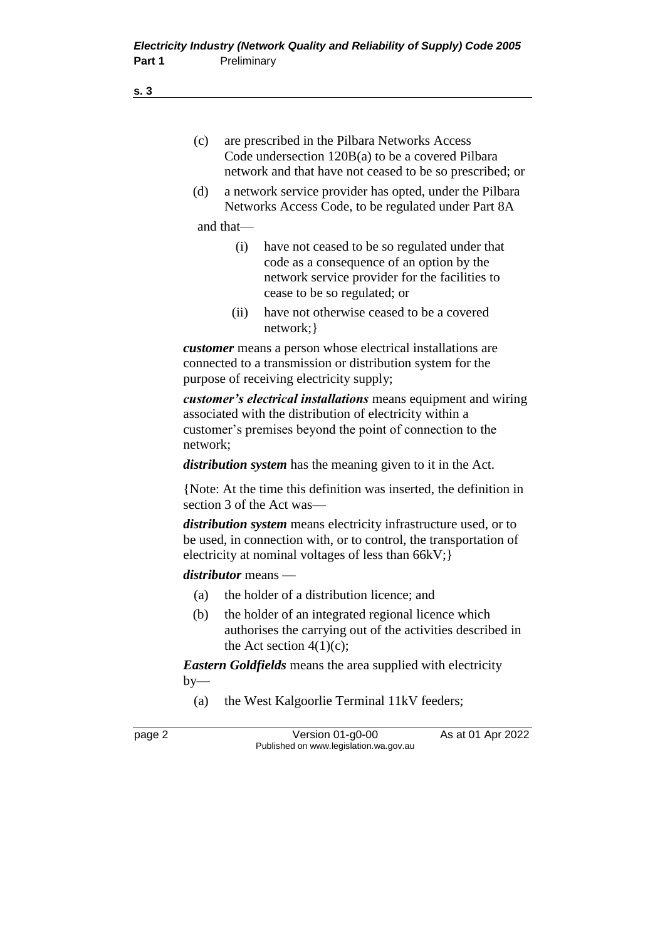(c) are prescribed in the Pilbara Networks Access Code undersection 120B(a) to be a covered Pilbara network and that have not ceased to be so prescribed; or

(d) a network service provider has opted, under the Pilbara Networks Access Code, to be regulated under Part 8A

and that—

- (i) have not ceased to be so regulated under that code as a consequence of an option by the network service provider for the facilities to cease to be so regulated; or
- (ii) have not otherwise ceased to be a covered network;}

*customer* means a person whose electrical installations are connected to a transmission or distribution system for the purpose of receiving electricity supply;

*customer's electrical installations* means equipment and wiring associated with the distribution of electricity within a customer's premises beyond the point of connection to the network;

*distribution system* has the meaning given to it in the Act.

{Note: At the time this definition was inserted, the definition in section 3 of the Act was—

*distribution system* means electricity infrastructure used, or to be used, in connection with, or to control, the transportation of electricity at nominal voltages of less than 66kV;}

*distributor* means —

- (a) the holder of a distribution licence; and
- (b) the holder of an integrated regional licence which authorises the carrying out of the activities described in the Act section  $4(1)(c)$ ;

*Eastern Goldfields* means the area supplied with electricity  $by-$ 

(a) the West Kalgoorlie Terminal 11kV feeders;

page 2 **Version 01-g0-00** As at 01 Apr 2022 Published on www.legislation.wa.gov.au

**s. 3**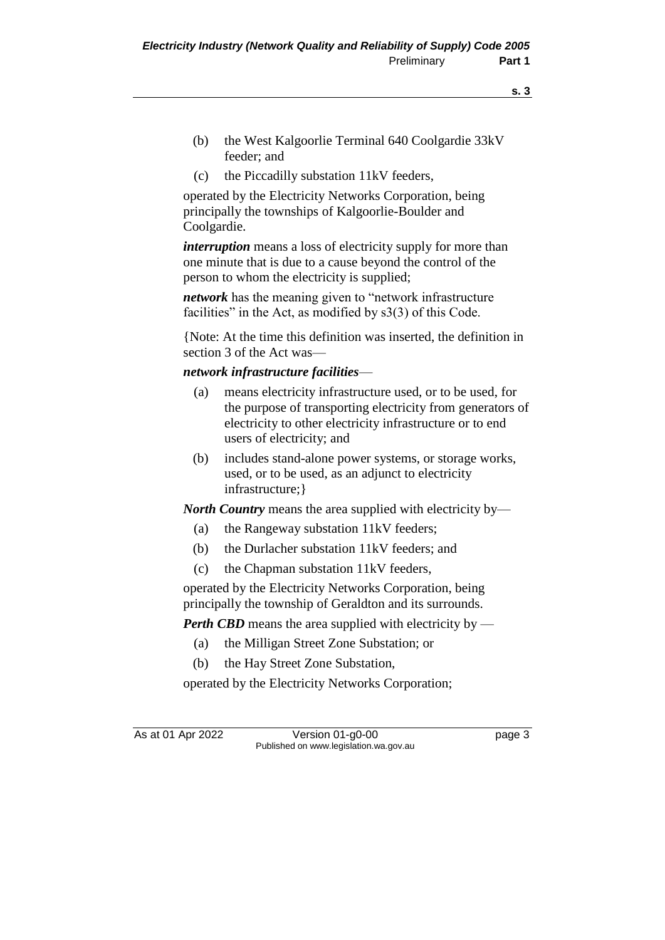- **s. 3**
- (b) the West Kalgoorlie Terminal 640 Coolgardie 33kV feeder; and
- (c) the Piccadilly substation 11kV feeders,

operated by the Electricity Networks Corporation, being principally the townships of Kalgoorlie-Boulder and Coolgardie.

*interruption* means a loss of electricity supply for more than one minute that is due to a cause beyond the control of the person to whom the electricity is supplied;

*network* has the meaning given to "network infrastructure facilities" in the Act, as modified by s3(3) of this Code.

{Note: At the time this definition was inserted, the definition in section 3 of the Act was—

#### *network infrastructure facilities*—

- (a) means electricity infrastructure used, or to be used, for the purpose of transporting electricity from generators of electricity to other electricity infrastructure or to end users of electricity; and
- (b) includes stand-alone power systems, or storage works, used, or to be used, as an adjunct to electricity infrastructure;}

*North Country* means the area supplied with electricity by—

- (a) the Rangeway substation 11kV feeders;
- (b) the Durlacher substation 11kV feeders; and
- (c) the Chapman substation 11kV feeders,

operated by the Electricity Networks Corporation, being principally the township of Geraldton and its surrounds.

*Perth CBD* means the area supplied with electricity by —

- (a) the Milligan Street Zone Substation; or
- (b) the Hay Street Zone Substation,

operated by the Electricity Networks Corporation;

As at 01 Apr 2022 Version 01-g0-00 Page 3 Published on www.legislation.wa.gov.au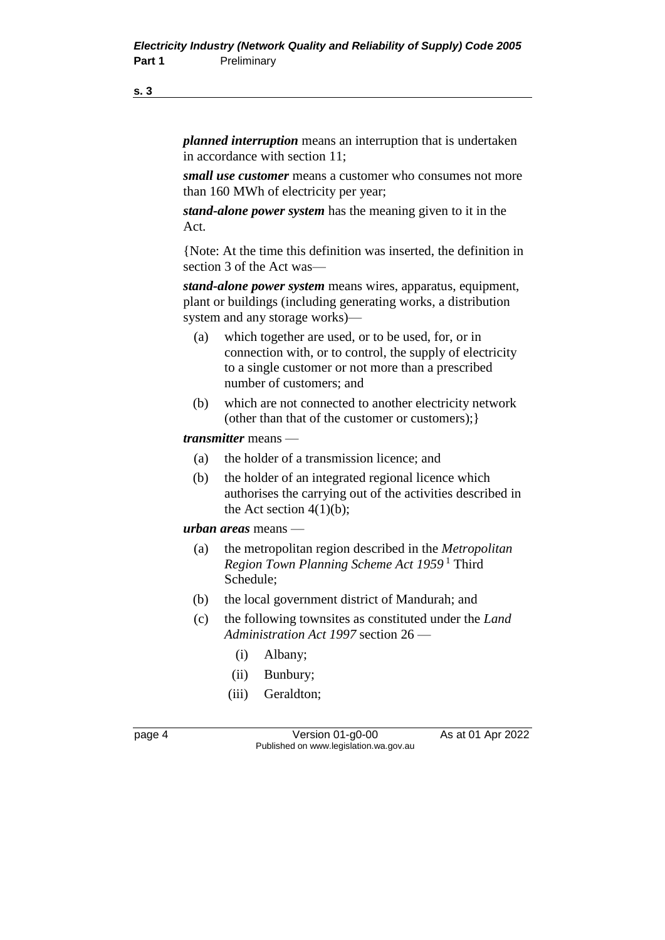**s. 3**

*planned interruption* means an interruption that is undertaken in accordance with section 11;

*small use customer* means a customer who consumes not more than 160 MWh of electricity per year;

*stand-alone power system* has the meaning given to it in the Act.

{Note: At the time this definition was inserted, the definition in section 3 of the Act was—

*stand-alone power system* means wires, apparatus, equipment, plant or buildings (including generating works, a distribution system and any storage works)—

- (a) which together are used, or to be used, for, or in connection with, or to control, the supply of electricity to a single customer or not more than a prescribed number of customers; and
- (b) which are not connected to another electricity network (other than that of the customer or customers);}

#### *transmitter* means —

- (a) the holder of a transmission licence; and
- (b) the holder of an integrated regional licence which authorises the carrying out of the activities described in the Act section  $4(1)(b)$ ;

*urban areas* means —

- (a) the metropolitan region described in the *Metropolitan Region Town Planning Scheme Act 1959* <sup>1</sup> Third Schedule;
- (b) the local government district of Mandurah; and
- (c) the following townsites as constituted under the *Land Administration Act 1997* section 26 —
	- (i) Albany;
	- (ii) Bunbury;
	- (iii) Geraldton;

page 4 Version 01-g0-00 As at 01 Apr 2022 Published on www.legislation.wa.gov.au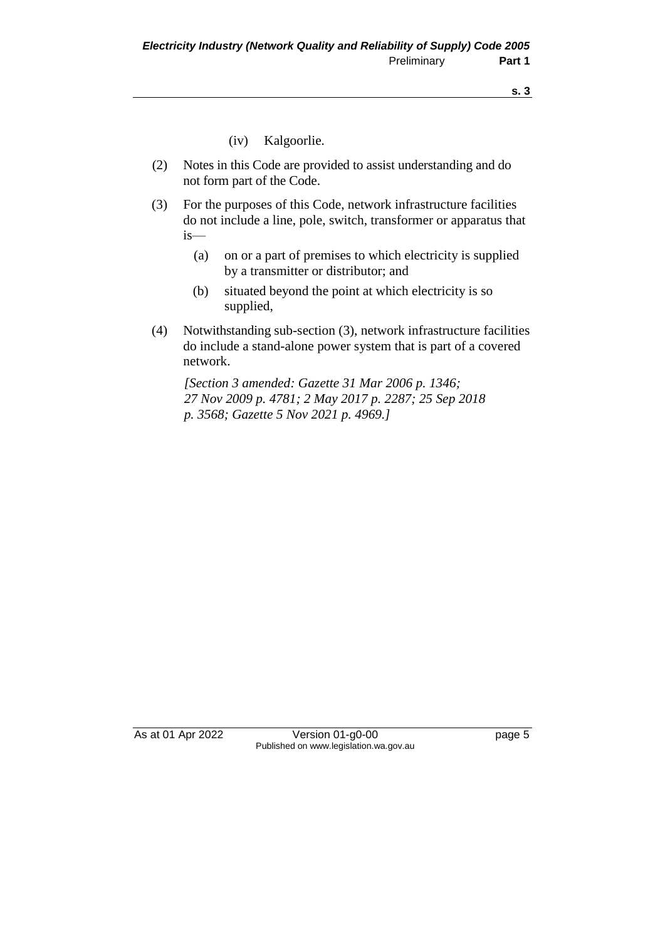- (iv) Kalgoorlie.
- (2) Notes in this Code are provided to assist understanding and do not form part of the Code.
- (3) For the purposes of this Code, network infrastructure facilities do not include a line, pole, switch, transformer or apparatus that is—
	- (a) on or a part of premises to which electricity is supplied by a transmitter or distributor; and
	- (b) situated beyond the point at which electricity is so supplied,
- (4) Notwithstanding sub-section (3), network infrastructure facilities do include a stand-alone power system that is part of a covered network.

*[Section 3 amended: Gazette 31 Mar 2006 p. 1346; 27 Nov 2009 p. 4781; 2 May 2017 p. 2287; 25 Sep 2018 p. 3568; Gazette 5 Nov 2021 p. 4969.]*

As at 01 Apr 2022 Version 01-g0-00 Page 5 Published on www.legislation.wa.gov.au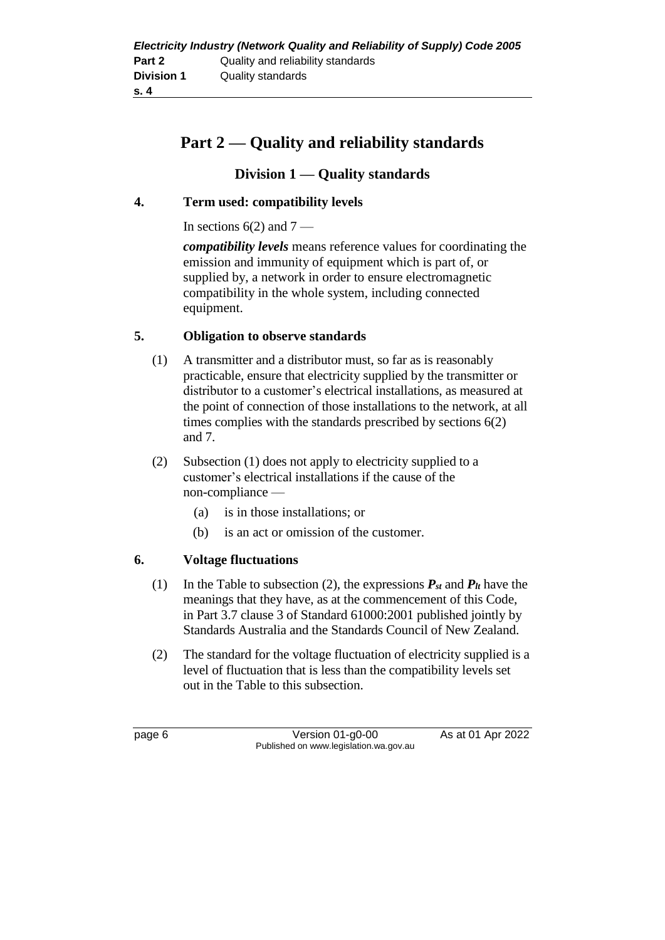## **Part 2 — Quality and reliability standards**

#### **Division 1 — Quality standards**

#### **4. Term used: compatibility levels**

In sections  $6(2)$  and  $7$  —

*compatibility levels* means reference values for coordinating the emission and immunity of equipment which is part of, or supplied by, a network in order to ensure electromagnetic compatibility in the whole system, including connected equipment.

#### **5. Obligation to observe standards**

- (1) A transmitter and a distributor must, so far as is reasonably practicable, ensure that electricity supplied by the transmitter or distributor to a customer's electrical installations, as measured at the point of connection of those installations to the network, at all times complies with the standards prescribed by sections 6(2) and 7.
- (2) Subsection (1) does not apply to electricity supplied to a customer's electrical installations if the cause of the non-compliance —
	- (a) is in those installations; or
	- (b) is an act or omission of the customer.

#### **6. Voltage fluctuations**

- (1) In the Table to subsection (2), the expressions  $P_{st}$  and  $P_{lt}$  have the meanings that they have, as at the commencement of this Code, in Part 3.7 clause 3 of Standard 61000:2001 published jointly by Standards Australia and the Standards Council of New Zealand.
- (2) The standard for the voltage fluctuation of electricity supplied is a level of fluctuation that is less than the compatibility levels set out in the Table to this subsection.

page 6 **Version 01-g0-00** As at 01 Apr 2022 Published on www.legislation.wa.gov.au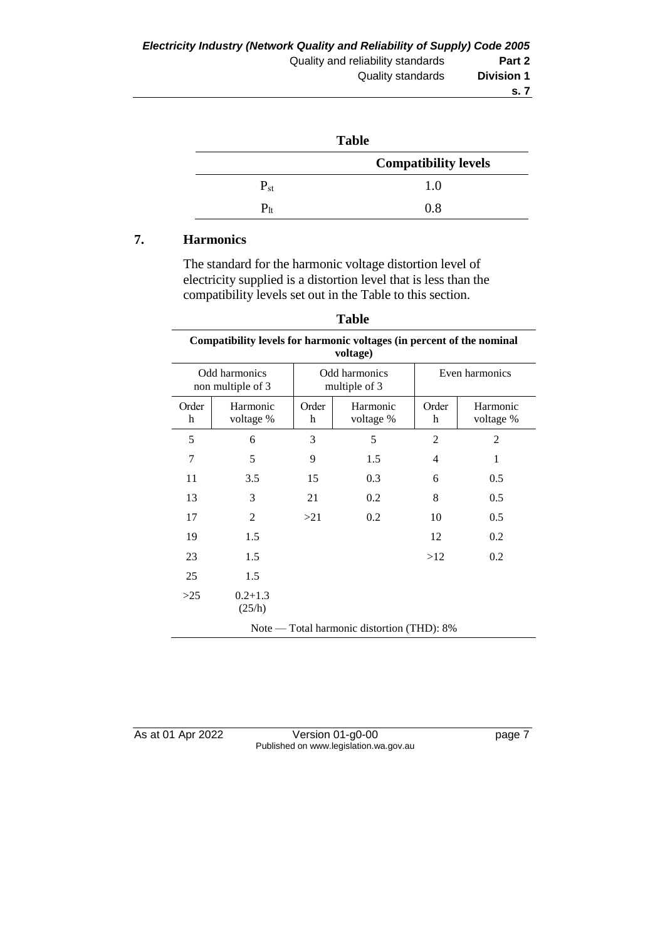| <b>Table</b> |                             |  |  |
|--------------|-----------------------------|--|--|
|              | <b>Compatibility levels</b> |  |  |
| $P_{st}$     | 1.0                         |  |  |
| $P_{1t}$     | 0.8                         |  |  |

#### **7. Harmonics**

The standard for the harmonic voltage distortion level of electricity supplied is a distortion level that is less than the compatibility levels set out in the Table to this section.

| <b>Table</b>                                                                           |                       |            |                       |                |                       |
|----------------------------------------------------------------------------------------|-----------------------|------------|-----------------------|----------------|-----------------------|
| Compatibility levels for harmonic voltages (in percent of the nominal<br>voltage)      |                       |            |                       |                |                       |
| Odd harmonics<br>Even harmonics<br>Odd harmonics<br>multiple of 3<br>non multiple of 3 |                       |            |                       |                |                       |
| Order<br>h                                                                             | Harmonic<br>voltage % | Order<br>h | Harmonic<br>voltage % | Order<br>h     | Harmonic<br>voltage % |
| 5                                                                                      | 6                     | 3          | 5                     | $\overline{2}$ | $\overline{2}$        |
| 7                                                                                      | 5                     | 9          | 1.5                   | 4              | 1                     |
| 11                                                                                     | 3.5                   | 15         | 0.3                   | 6              | 0.5                   |
| 13                                                                                     | 3                     | 21         | 0.2                   | 8              | 0.5                   |
| 17                                                                                     | $\overline{2}$        | >21        | 0.2                   | 10             | 0.5                   |
| 19                                                                                     | 1.5                   |            |                       | 12             | 0.2                   |
| 23                                                                                     | 1.5                   |            |                       | >12            | 0.2                   |
| 25                                                                                     | 1.5                   |            |                       |                |                       |
| >25                                                                                    | $0.2 + 1.3$<br>(25/h) |            |                       |                |                       |
| Note — Total harmonic distortion (THD): 8%                                             |                       |            |                       |                |                       |

As at 01 Apr 2022 Version 01-g0-00 Page 7 Published on www.legislation.wa.gov.au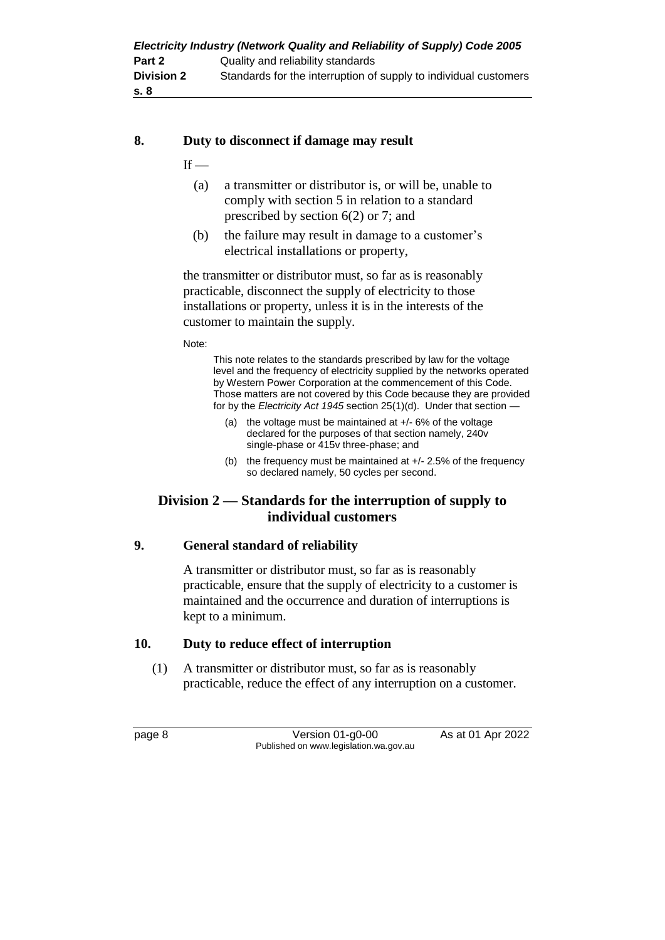| Electricity Industry (Network Quality and Reliability of Supply) Code 2005 |                                                                  |  |  |
|----------------------------------------------------------------------------|------------------------------------------------------------------|--|--|
| Part 2                                                                     | Quality and reliability standards                                |  |  |
| <b>Division 2</b>                                                          | Standards for the interruption of supply to individual customers |  |  |
| .s. 8                                                                      |                                                                  |  |  |

#### **8. Duty to disconnect if damage may result**

 $If -$ 

- (a) a transmitter or distributor is, or will be, unable to comply with section 5 in relation to a standard prescribed by section 6(2) or 7; and
- (b) the failure may result in damage to a customer's electrical installations or property,

the transmitter or distributor must, so far as is reasonably practicable, disconnect the supply of electricity to those installations or property, unless it is in the interests of the customer to maintain the supply.

Note:

This note relates to the standards prescribed by law for the voltage level and the frequency of electricity supplied by the networks operated by Western Power Corporation at the commencement of this Code. Those matters are not covered by this Code because they are provided for by the *Electricity Act 1945* section 25(1)(d). Under that section —

- (a) the voltage must be maintained at +/- 6% of the voltage declared for the purposes of that section namely, 240v single-phase or 415v three-phase; and
- (b) the frequency must be maintained at +/- 2.5% of the frequency so declared namely, 50 cycles per second.

#### **Division 2 — Standards for the interruption of supply to individual customers**

#### **9. General standard of reliability**

A transmitter or distributor must, so far as is reasonably practicable, ensure that the supply of electricity to a customer is maintained and the occurrence and duration of interruptions is kept to a minimum.

#### **10. Duty to reduce effect of interruption**

(1) A transmitter or distributor must, so far as is reasonably practicable, reduce the effect of any interruption on a customer.

page 8 Version 01-g0-00 As at 01 Apr 2022 Published on www.legislation.wa.gov.au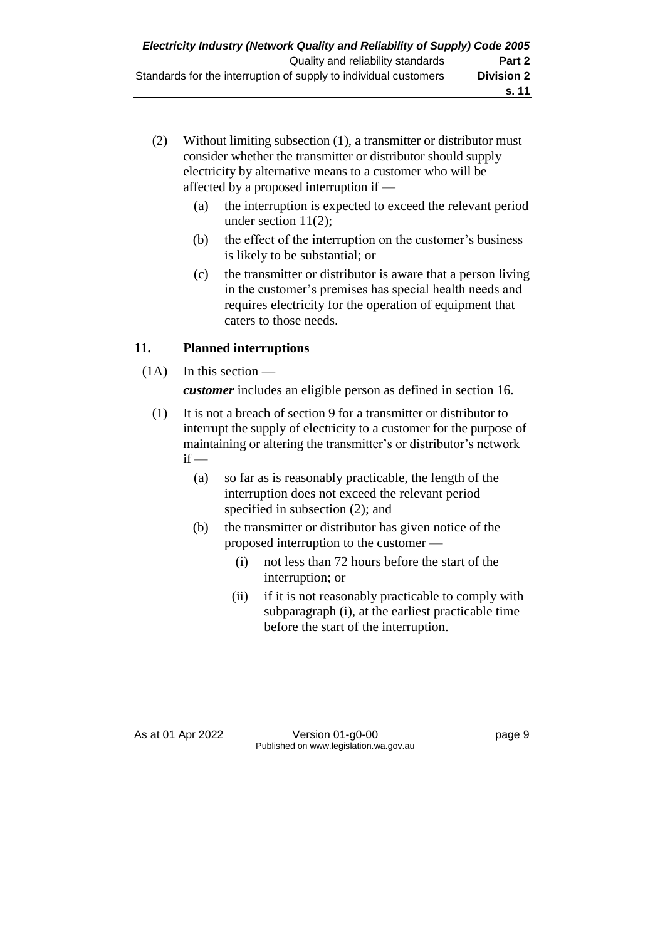- (2) Without limiting subsection (1), a transmitter or distributor must consider whether the transmitter or distributor should supply electricity by alternative means to a customer who will be affected by a proposed interruption if —
	- (a) the interruption is expected to exceed the relevant period under section 11(2);
	- (b) the effect of the interruption on the customer's business is likely to be substantial; or
	- (c) the transmitter or distributor is aware that a person living in the customer's premises has special health needs and requires electricity for the operation of equipment that caters to those needs.

### **11. Planned interruptions**

 $(1A)$  In this section —

*customer* includes an eligible person as defined in section 16.

- (1) It is not a breach of section 9 for a transmitter or distributor to interrupt the supply of electricity to a customer for the purpose of maintaining or altering the transmitter's or distributor's network  $if -$ 
	- (a) so far as is reasonably practicable, the length of the interruption does not exceed the relevant period specified in subsection (2); and
	- (b) the transmitter or distributor has given notice of the proposed interruption to the customer —
		- (i) not less than 72 hours before the start of the interruption; or
		- (ii) if it is not reasonably practicable to comply with subparagraph (i), at the earliest practicable time before the start of the interruption.

As at 01 Apr 2022 Version 01-g0-00 Page 9 Published on www.legislation.wa.gov.au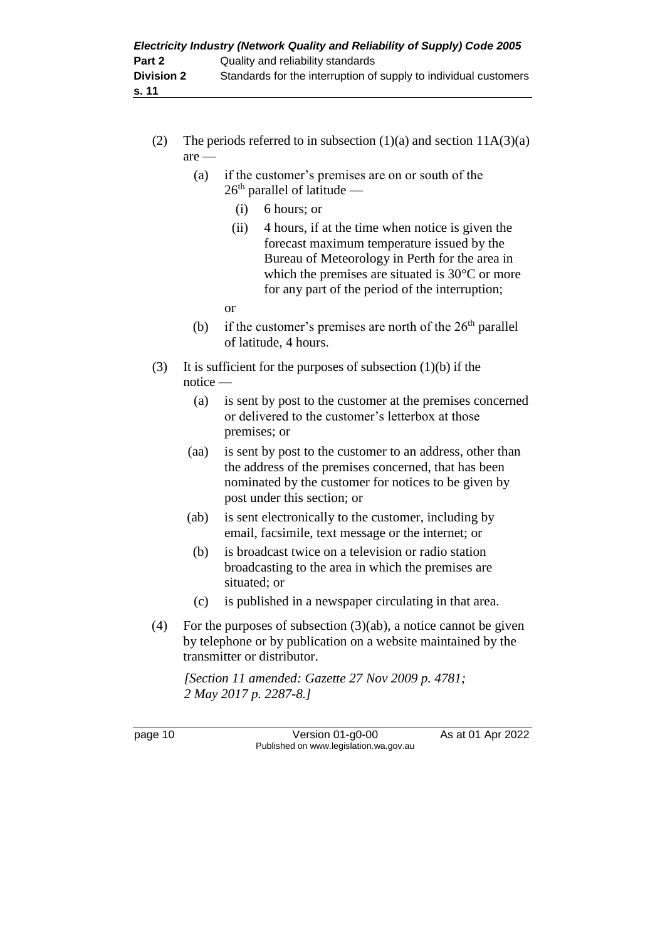- (2) The periods referred to in subsection  $(1)(a)$  and section  $11A(3)(a)$ are —
	- (a) if the customer's premises are on or south of the  $26<sup>th</sup>$  parallel of latitude —
		- (i) 6 hours; or
		- (ii) 4 hours, if at the time when notice is given the forecast maximum temperature issued by the Bureau of Meteorology in Perth for the area in which the premises are situated is 30°C or more for any part of the period of the interruption;
		- or
	- (b) if the customer's premises are north of the  $26<sup>th</sup>$  parallel of latitude, 4 hours.
- (3) It is sufficient for the purposes of subsection (1)(b) if the notice —
	- (a) is sent by post to the customer at the premises concerned or delivered to the customer's letterbox at those premises; or
	- (aa) is sent by post to the customer to an address, other than the address of the premises concerned, that has been nominated by the customer for notices to be given by post under this section; or
	- (ab) is sent electronically to the customer, including by email, facsimile, text message or the internet; or
	- (b) is broadcast twice on a television or radio station broadcasting to the area in which the premises are situated; or
	- (c) is published in a newspaper circulating in that area.
- (4) For the purposes of subsection  $(3)(ab)$ , a notice cannot be given by telephone or by publication on a website maintained by the transmitter or distributor.

*[Section 11 amended: Gazette 27 Nov 2009 p. 4781; 2 May 2017 p. 2287-8.]*

page 10 **Version 01-g0-00** As at 01 Apr 2022 Published on www.legislation.wa.gov.au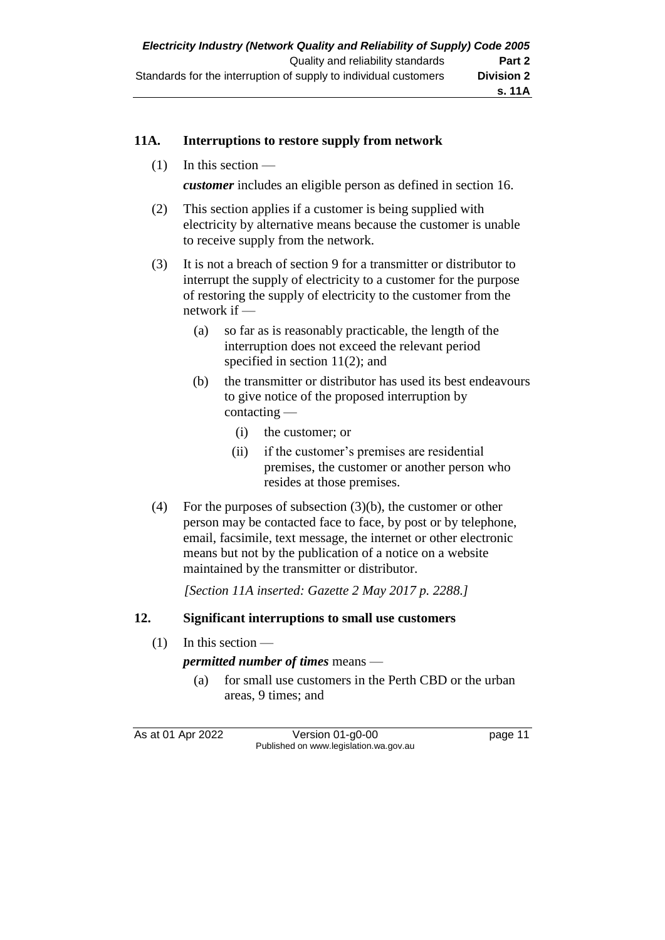#### **11A. Interruptions to restore supply from network**

(1) In this section —

*customer* includes an eligible person as defined in section 16.

- (2) This section applies if a customer is being supplied with electricity by alternative means because the customer is unable to receive supply from the network.
- (3) It is not a breach of section 9 for a transmitter or distributor to interrupt the supply of electricity to a customer for the purpose of restoring the supply of electricity to the customer from the network if —
	- (a) so far as is reasonably practicable, the length of the interruption does not exceed the relevant period specified in section 11(2); and
	- (b) the transmitter or distributor has used its best endeavours to give notice of the proposed interruption by contacting —
		- (i) the customer; or
		- (ii) if the customer's premises are residential premises, the customer or another person who resides at those premises.
- (4) For the purposes of subsection (3)(b), the customer or other person may be contacted face to face, by post or by telephone, email, facsimile, text message, the internet or other electronic means but not by the publication of a notice on a website maintained by the transmitter or distributor.

*[Section 11A inserted: Gazette 2 May 2017 p. 2288.]*

#### **12. Significant interruptions to small use customers**

 $(1)$  In this section —

*permitted number of times* means —

(a) for small use customers in the Perth CBD or the urban areas, 9 times; and

As at 01 Apr 2022 Version 01-g0-00 page 11 Published on www.legislation.wa.gov.au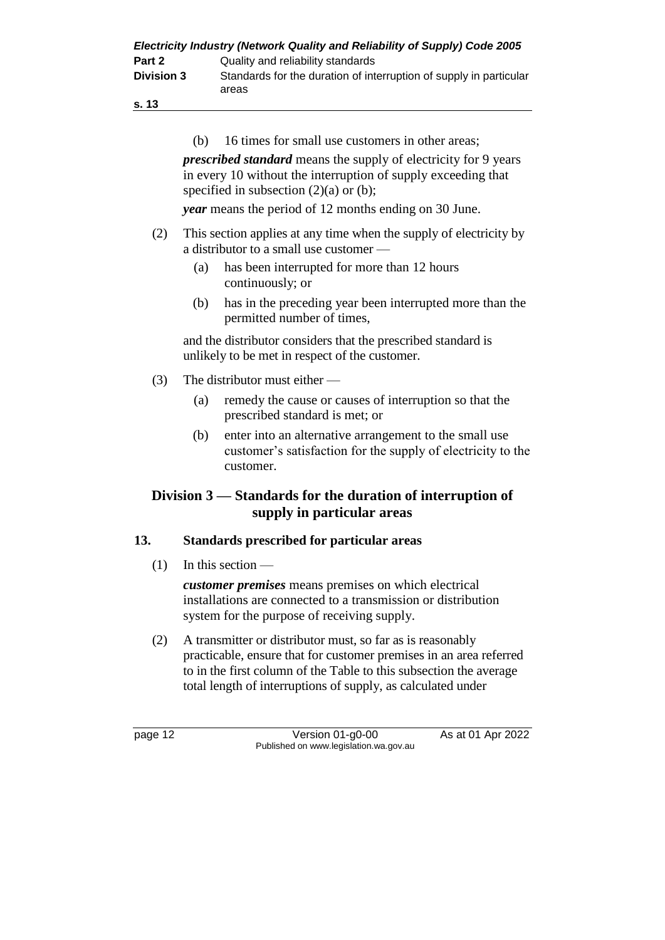|                   | Electricity Industry (Network Quality and Reliability of Supply) Code 2005  |
|-------------------|-----------------------------------------------------------------------------|
| Part 2            | Quality and reliability standards                                           |
| <b>Division 3</b> | Standards for the duration of interruption of supply in particular<br>areas |

| ۰. | ۹ | ×<br>۰. |  |
|----|---|---------|--|
|    |   |         |  |

(b) 16 times for small use customers in other areas;

*prescribed standard* means the supply of electricity for 9 years in every 10 without the interruption of supply exceeding that specified in subsection  $(2)(a)$  or  $(b)$ ;

*year* means the period of 12 months ending on 30 June.

- (2) This section applies at any time when the supply of electricity by a distributor to a small use customer —
	- (a) has been interrupted for more than 12 hours continuously; or
	- (b) has in the preceding year been interrupted more than the permitted number of times,

and the distributor considers that the prescribed standard is unlikely to be met in respect of the customer.

- (3) The distributor must either
	- (a) remedy the cause or causes of interruption so that the prescribed standard is met; or
	- (b) enter into an alternative arrangement to the small use customer's satisfaction for the supply of electricity to the customer.

#### **Division 3 — Standards for the duration of interruption of supply in particular areas**

#### **13. Standards prescribed for particular areas**

 $(1)$  In this section —

*customer premises* means premises on which electrical installations are connected to a transmission or distribution system for the purpose of receiving supply.

(2) A transmitter or distributor must, so far as is reasonably practicable, ensure that for customer premises in an area referred to in the first column of the Table to this subsection the average total length of interruptions of supply, as calculated under

page 12 **Version 01-g0-00** As at 01 Apr 2022 Published on www.legislation.wa.gov.au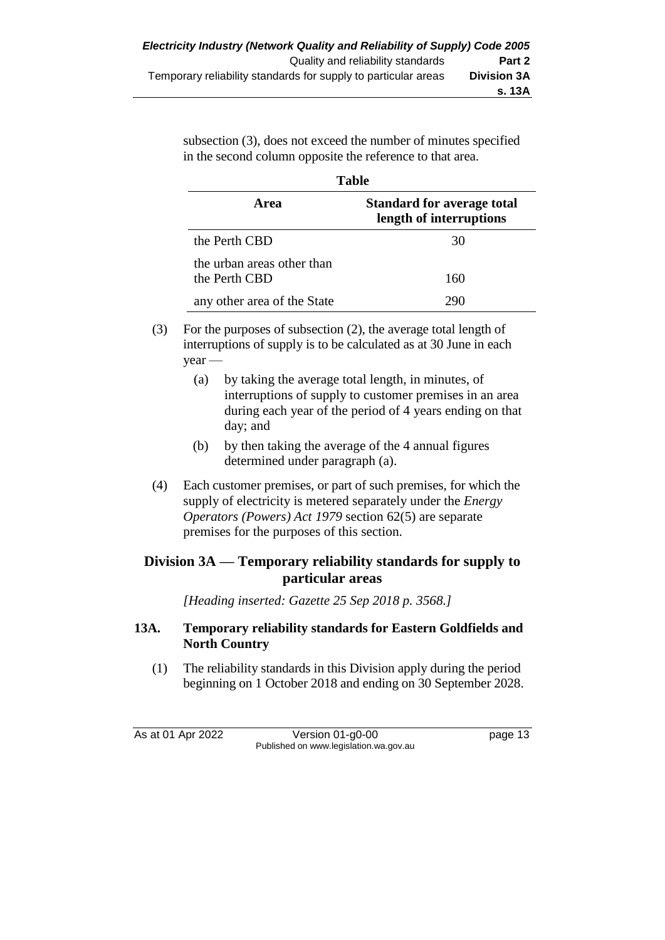subsection (3), does not exceed the number of minutes specified in the second column opposite the reference to that area.

| Table                                       |                                                              |  |  |  |
|---------------------------------------------|--------------------------------------------------------------|--|--|--|
| <b>Area</b>                                 | <b>Standard for average total</b><br>length of interruptions |  |  |  |
| the Perth CBD                               | 30                                                           |  |  |  |
| the urban areas other than<br>the Perth CBD | 160                                                          |  |  |  |
| any other area of the State                 |                                                              |  |  |  |

- (3) For the purposes of subsection (2), the average total length of interruptions of supply is to be calculated as at 30 June in each year —
	- (a) by taking the average total length, in minutes, of interruptions of supply to customer premises in an area during each year of the period of 4 years ending on that day; and
	- (b) by then taking the average of the 4 annual figures determined under paragraph (a).
- (4) Each customer premises, or part of such premises, for which the supply of electricity is metered separately under the *Energy Operators (Powers) Act 1979* section 62(5) are separate premises for the purposes of this section.

### **Division 3A — Temporary reliability standards for supply to particular areas**

*[Heading inserted: Gazette 25 Sep 2018 p. 3568.]*

#### **13A. Temporary reliability standards for Eastern Goldfields and North Country**

(1) The reliability standards in this Division apply during the period beginning on 1 October 2018 and ending on 30 September 2028.

As at 01 Apr 2022 Version 01-g0-00 page 13 Published on www.legislation.wa.gov.au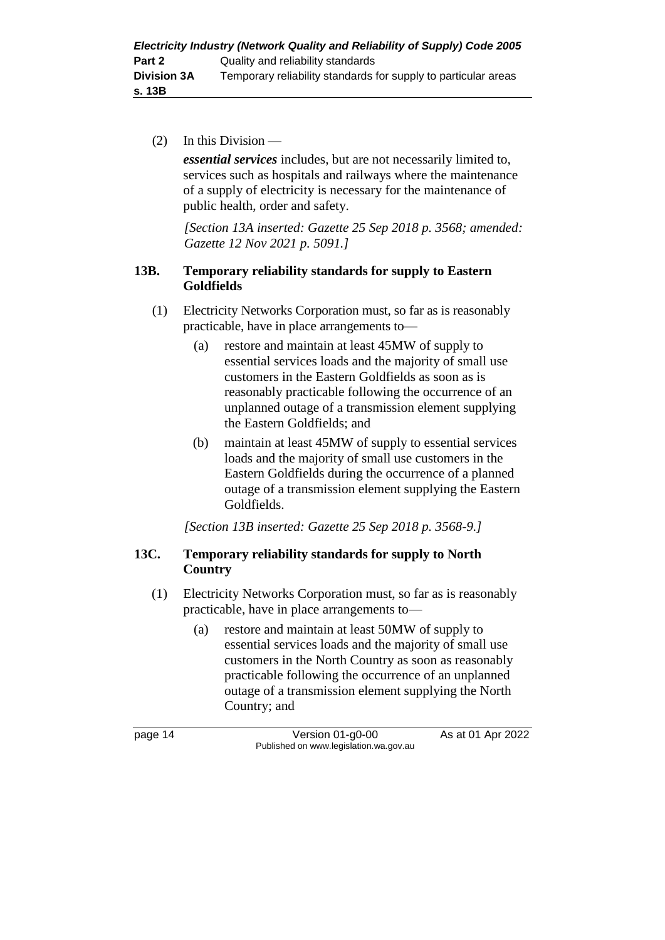(2) In this Division —

*essential services* includes, but are not necessarily limited to, services such as hospitals and railways where the maintenance of a supply of electricity is necessary for the maintenance of public health, order and safety.

*[Section 13A inserted: Gazette 25 Sep 2018 p. 3568; amended: Gazette 12 Nov 2021 p. 5091.]*

#### **13B. Temporary reliability standards for supply to Eastern Goldfields**

- (1) Electricity Networks Corporation must, so far as is reasonably practicable, have in place arrangements to—
	- (a) restore and maintain at least 45MW of supply to essential services loads and the majority of small use customers in the Eastern Goldfields as soon as is reasonably practicable following the occurrence of an unplanned outage of a transmission element supplying the Eastern Goldfields; and
	- (b) maintain at least 45MW of supply to essential services loads and the majority of small use customers in the Eastern Goldfields during the occurrence of a planned outage of a transmission element supplying the Eastern Goldfields.

*[Section 13B inserted: Gazette 25 Sep 2018 p. 3568-9.]*

#### **13C. Temporary reliability standards for supply to North Country**

- (1) Electricity Networks Corporation must, so far as is reasonably practicable, have in place arrangements to—
	- (a) restore and maintain at least 50MW of supply to essential services loads and the majority of small use customers in the North Country as soon as reasonably practicable following the occurrence of an unplanned outage of a transmission element supplying the North Country; and

page 14 Version 01-g0-00 As at 01 Apr 2022 Published on www.legislation.wa.gov.au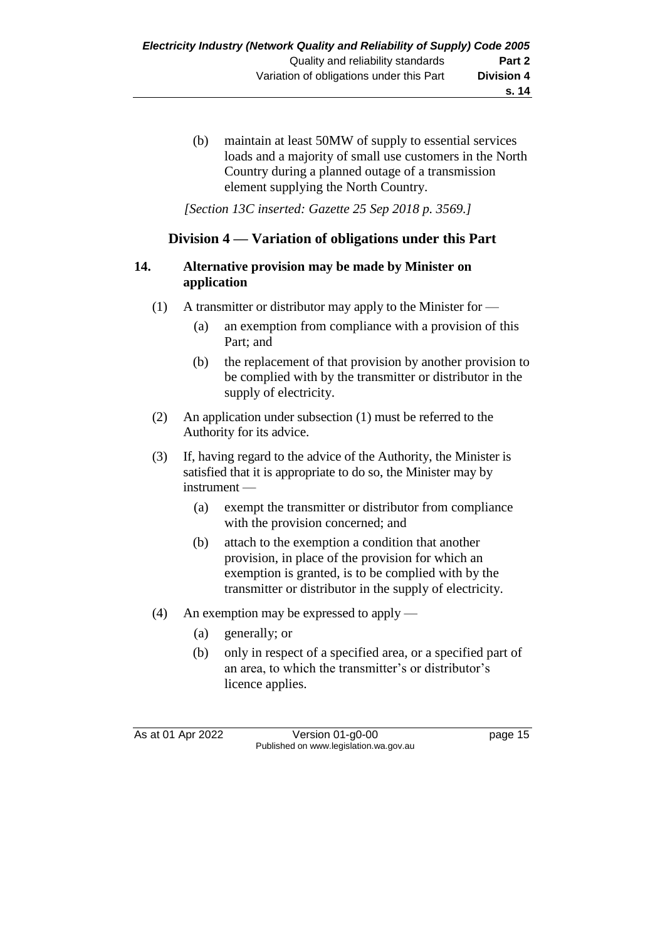(b) maintain at least 50MW of supply to essential services loads and a majority of small use customers in the North Country during a planned outage of a transmission element supplying the North Country.

*[Section 13C inserted: Gazette 25 Sep 2018 p. 3569.]*

#### **Division 4 — Variation of obligations under this Part**

#### **14. Alternative provision may be made by Minister on application**

- (1) A transmitter or distributor may apply to the Minister for
	- (a) an exemption from compliance with a provision of this Part; and
	- (b) the replacement of that provision by another provision to be complied with by the transmitter or distributor in the supply of electricity.
- (2) An application under subsection (1) must be referred to the Authority for its advice.
- (3) If, having regard to the advice of the Authority, the Minister is satisfied that it is appropriate to do so, the Minister may by instrument —
	- (a) exempt the transmitter or distributor from compliance with the provision concerned; and
	- (b) attach to the exemption a condition that another provision, in place of the provision for which an exemption is granted, is to be complied with by the transmitter or distributor in the supply of electricity.
- (4) An exemption may be expressed to apply
	- (a) generally; or
	- (b) only in respect of a specified area, or a specified part of an area, to which the transmitter's or distributor's licence applies.

As at 01 Apr 2022 Version 01-g0-00 Published on www.legislation.wa.gov.au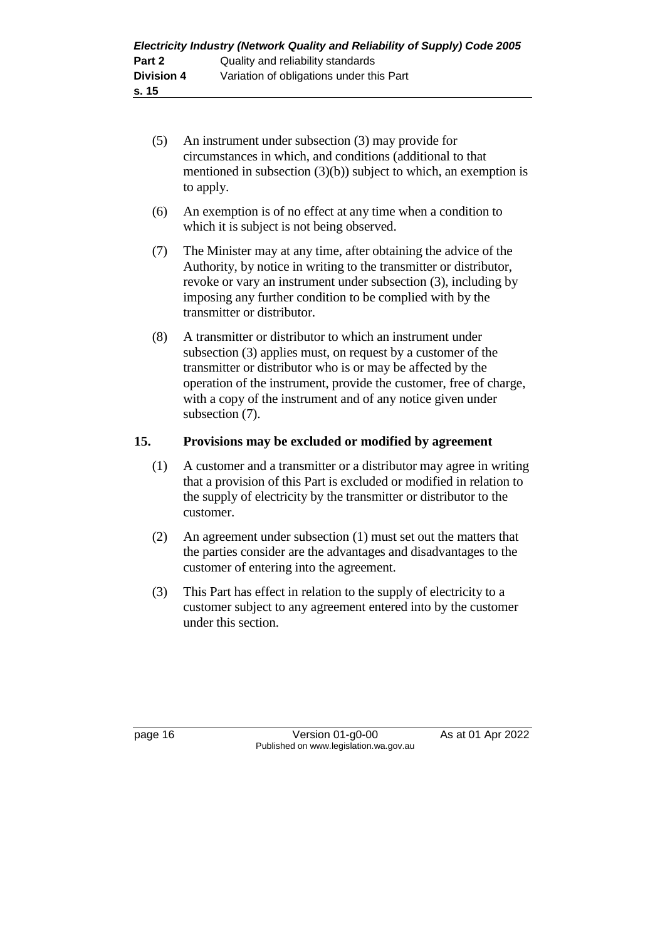- (5) An instrument under subsection (3) may provide for circumstances in which, and conditions (additional to that mentioned in subsection (3)(b)) subject to which, an exemption is to apply.
- (6) An exemption is of no effect at any time when a condition to which it is subject is not being observed.
- (7) The Minister may at any time, after obtaining the advice of the Authority, by notice in writing to the transmitter or distributor, revoke or vary an instrument under subsection (3), including by imposing any further condition to be complied with by the transmitter or distributor.
- (8) A transmitter or distributor to which an instrument under subsection (3) applies must, on request by a customer of the transmitter or distributor who is or may be affected by the operation of the instrument, provide the customer, free of charge, with a copy of the instrument and of any notice given under subsection (7).

#### **15. Provisions may be excluded or modified by agreement**

- (1) A customer and a transmitter or a distributor may agree in writing that a provision of this Part is excluded or modified in relation to the supply of electricity by the transmitter or distributor to the customer.
- (2) An agreement under subsection (1) must set out the matters that the parties consider are the advantages and disadvantages to the customer of entering into the agreement.
- (3) This Part has effect in relation to the supply of electricity to a customer subject to any agreement entered into by the customer under this section.

page 16 **Version 01-g0-00** As at 01 Apr 2022 Published on www.legislation.wa.gov.au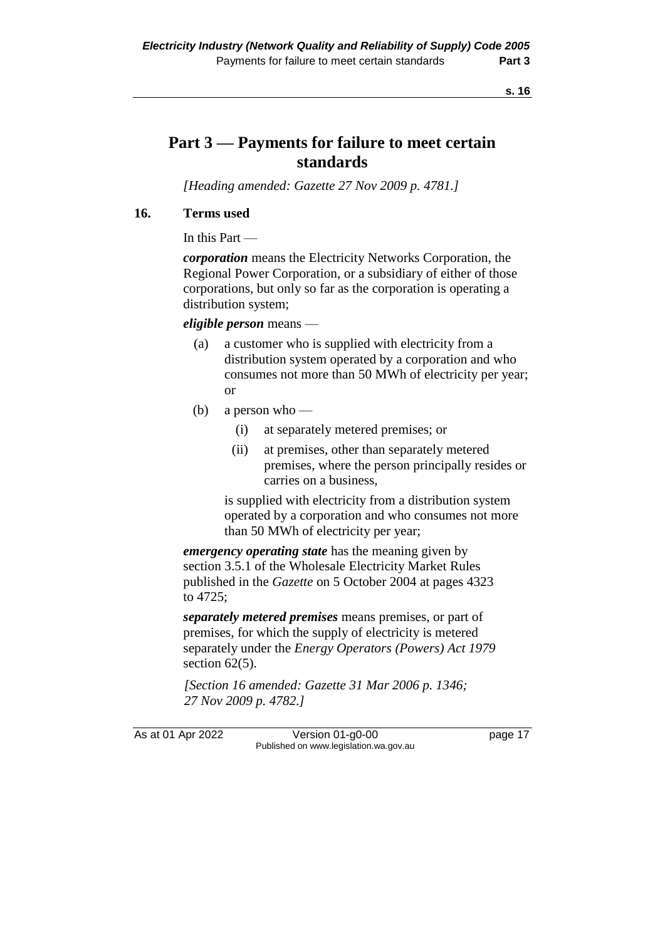**s. 16**

## **Part 3 — Payments for failure to meet certain standards**

*[Heading amended: Gazette 27 Nov 2009 p. 4781.]*

#### **16. Terms used**

In this Part —

*corporation* means the Electricity Networks Corporation, the Regional Power Corporation, or a subsidiary of either of those corporations, but only so far as the corporation is operating a distribution system;

#### *eligible person* means —

- (a) a customer who is supplied with electricity from a distribution system operated by a corporation and who consumes not more than 50 MWh of electricity per year; or
- (b) a person who
	- (i) at separately metered premises; or
	- (ii) at premises, other than separately metered premises, where the person principally resides or carries on a business,

is supplied with electricity from a distribution system operated by a corporation and who consumes not more than 50 MWh of electricity per year;

*emergency operating state* has the meaning given by section 3.5.1 of the Wholesale Electricity Market Rules published in the *Gazette* on 5 October 2004 at pages 4323 to 4725;

*separately metered premises* means premises, or part of premises, for which the supply of electricity is metered separately under the *Energy Operators (Powers) Act 1979* section  $62(5)$ .

*[Section 16 amended: Gazette 31 Mar 2006 p. 1346; 27 Nov 2009 p. 4782.]*

As at 01 Apr 2022 Version 01-g0-00 Published on www.legislation.wa.gov.au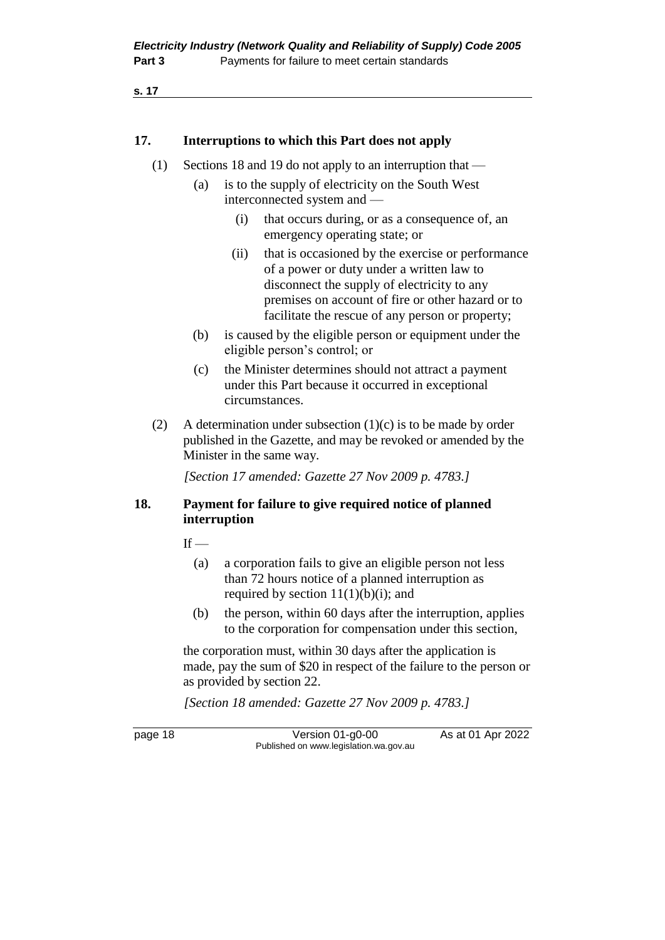**s. 17**

#### **17. Interruptions to which this Part does not apply**

- (1) Sections 18 and 19 do not apply to an interruption that
	- (a) is to the supply of electricity on the South West interconnected system and —
		- (i) that occurs during, or as a consequence of, an emergency operating state; or
		- (ii) that is occasioned by the exercise or performance of a power or duty under a written law to disconnect the supply of electricity to any premises on account of fire or other hazard or to facilitate the rescue of any person or property;
	- (b) is caused by the eligible person or equipment under the eligible person's control; or
	- (c) the Minister determines should not attract a payment under this Part because it occurred in exceptional circumstances.
- (2) A determination under subsection  $(1)(c)$  is to be made by order published in the Gazette, and may be revoked or amended by the Minister in the same way.

*[Section 17 amended: Gazette 27 Nov 2009 p. 4783.]*

#### **18. Payment for failure to give required notice of planned interruption**

 $If -$ 

- (a) a corporation fails to give an eligible person not less than 72 hours notice of a planned interruption as required by section  $11(1)(b)(i)$ ; and
- (b) the person, within 60 days after the interruption, applies to the corporation for compensation under this section,

the corporation must, within 30 days after the application is made, pay the sum of \$20 in respect of the failure to the person or as provided by section 22.

*[Section 18 amended: Gazette 27 Nov 2009 p. 4783.]*

page 18 **Version 01-g0-00** As at 01 Apr 2022 Published on www.legislation.wa.gov.au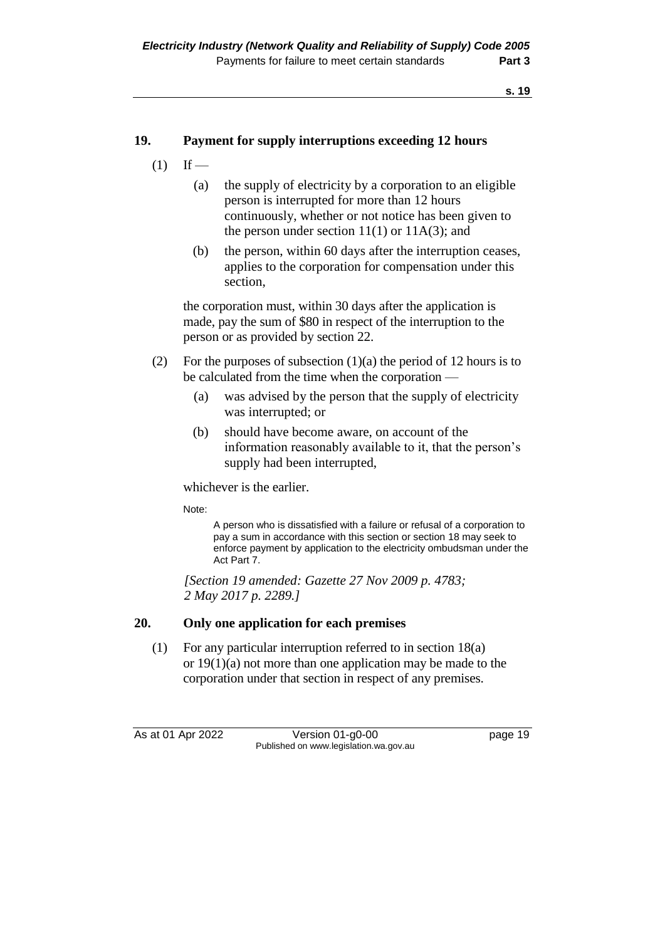#### **19. Payment for supply interruptions exceeding 12 hours**

- $(1)$  If
	- (a) the supply of electricity by a corporation to an eligible person is interrupted for more than 12 hours continuously, whether or not notice has been given to the person under section  $11(1)$  or  $11A(3)$ ; and
	- (b) the person, within 60 days after the interruption ceases, applies to the corporation for compensation under this section,

the corporation must, within 30 days after the application is made, pay the sum of \$80 in respect of the interruption to the person or as provided by section 22.

- (2) For the purposes of subsection  $(1)(a)$  the period of 12 hours is to be calculated from the time when the corporation —
	- (a) was advised by the person that the supply of electricity was interrupted; or
	- (b) should have become aware, on account of the information reasonably available to it, that the person's supply had been interrupted,

whichever is the earlier.

Note:

A person who is dissatisfied with a failure or refusal of a corporation to pay a sum in accordance with this section or section 18 may seek to enforce payment by application to the electricity ombudsman under the Act Part 7.

*[Section 19 amended: Gazette 27 Nov 2009 p. 4783; 2 May 2017 p. 2289.]*

#### **20. Only one application for each premises**

(1) For any particular interruption referred to in section 18(a) or 19(1)(a) not more than one application may be made to the corporation under that section in respect of any premises.

As at 01 Apr 2022 Version 01-g0-00 Page 19 Published on www.legislation.wa.gov.au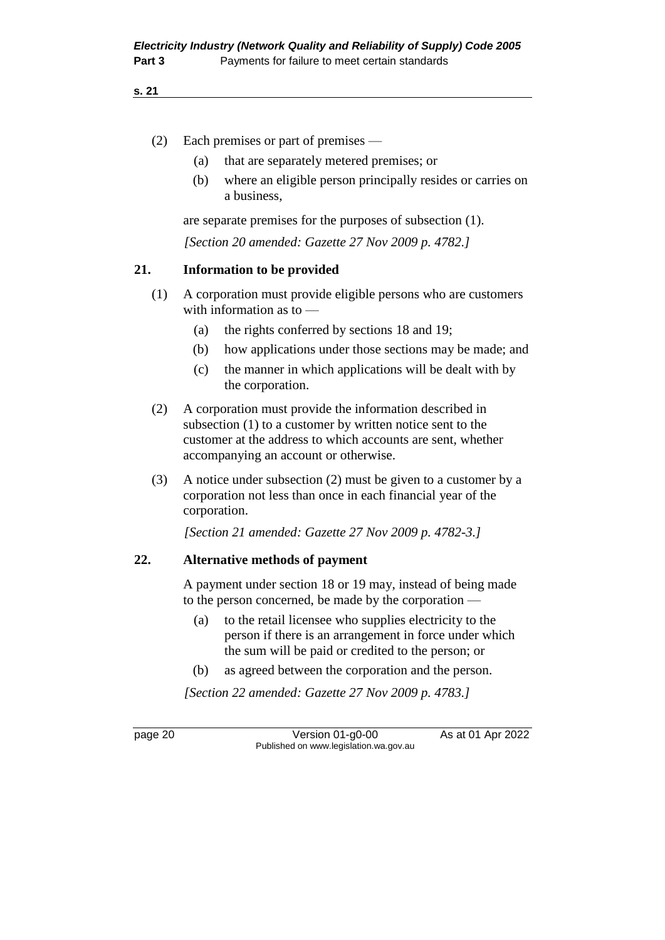#### **s. 21**

- (2) Each premises or part of premises
	- (a) that are separately metered premises; or
	- (b) where an eligible person principally resides or carries on a business,

are separate premises for the purposes of subsection (1).

*[Section 20 amended: Gazette 27 Nov 2009 p. 4782.]*

#### **21. Information to be provided**

- (1) A corporation must provide eligible persons who are customers with information as to —
	- (a) the rights conferred by sections 18 and 19;
	- (b) how applications under those sections may be made; and
	- (c) the manner in which applications will be dealt with by the corporation.
- (2) A corporation must provide the information described in subsection (1) to a customer by written notice sent to the customer at the address to which accounts are sent, whether accompanying an account or otherwise.
- (3) A notice under subsection (2) must be given to a customer by a corporation not less than once in each financial year of the corporation.

*[Section 21 amended: Gazette 27 Nov 2009 p. 4782-3.]*

#### **22. Alternative methods of payment**

A payment under section 18 or 19 may, instead of being made to the person concerned, be made by the corporation —

- (a) to the retail licensee who supplies electricity to the person if there is an arrangement in force under which the sum will be paid or credited to the person; or
- (b) as agreed between the corporation and the person.

*[Section 22 amended: Gazette 27 Nov 2009 p. 4783.]*

page 20 **Version 01-g0-00** As at 01 Apr 2022 Published on www.legislation.wa.gov.au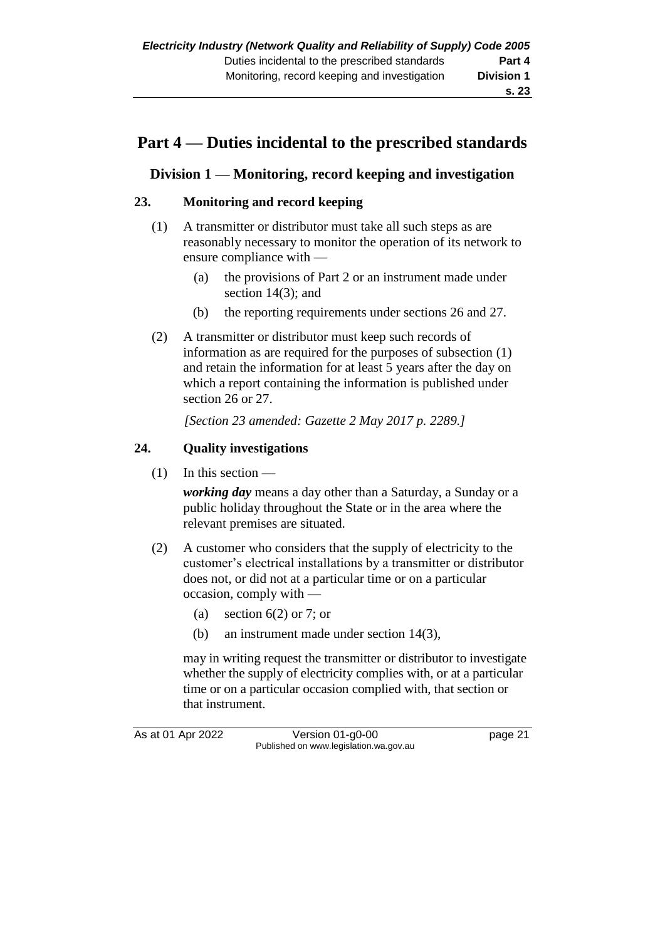## **Part 4 — Duties incidental to the prescribed standards**

### **Division 1 — Monitoring, record keeping and investigation**

#### **23. Monitoring and record keeping**

- (1) A transmitter or distributor must take all such steps as are reasonably necessary to monitor the operation of its network to ensure compliance with —
	- (a) the provisions of Part 2 or an instrument made under section 14(3); and
	- (b) the reporting requirements under sections 26 and 27.
- (2) A transmitter or distributor must keep such records of information as are required for the purposes of subsection (1) and retain the information for at least 5 years after the day on which a report containing the information is published under section 26 or 27.

*[Section 23 amended: Gazette 2 May 2017 p. 2289.]*

#### **24. Quality investigations**

 $(1)$  In this section —

*working day* means a day other than a Saturday, a Sunday or a public holiday throughout the State or in the area where the relevant premises are situated.

- (2) A customer who considers that the supply of electricity to the customer's electrical installations by a transmitter or distributor does not, or did not at a particular time or on a particular occasion, comply with —
	- (a) section  $6(2)$  or 7; or
	- (b) an instrument made under section 14(3),

may in writing request the transmitter or distributor to investigate whether the supply of electricity complies with, or at a particular time or on a particular occasion complied with, that section or that instrument.

As at 01 Apr 2022 Version 01-g0-00 Published on www.legislation.wa.gov.au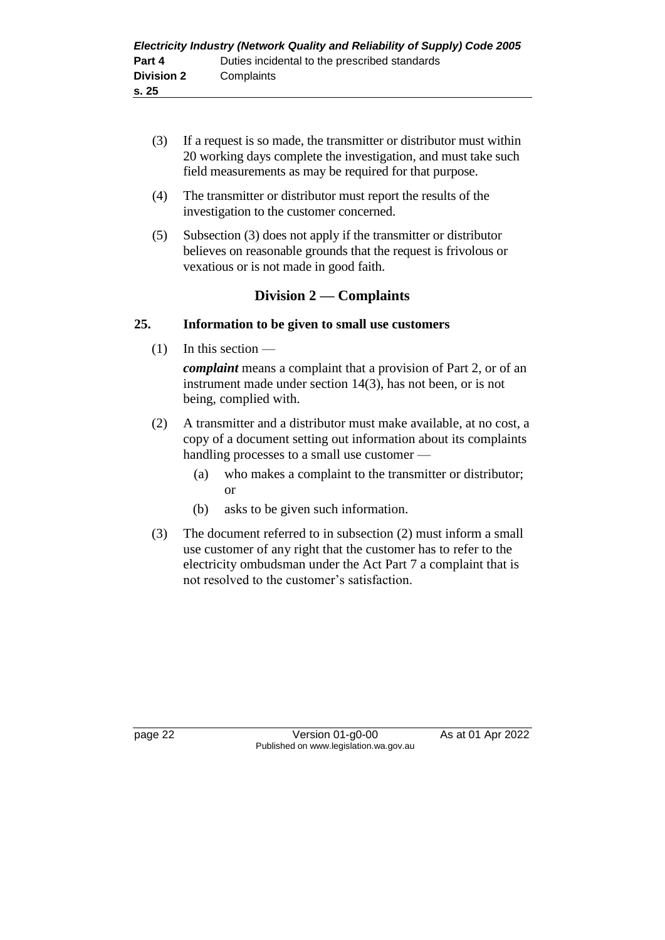- (3) If a request is so made, the transmitter or distributor must within 20 working days complete the investigation, and must take such field measurements as may be required for that purpose.
- (4) The transmitter or distributor must report the results of the investigation to the customer concerned.
- (5) Subsection (3) does not apply if the transmitter or distributor believes on reasonable grounds that the request is frivolous or vexatious or is not made in good faith.

#### **Division 2 — Complaints**

#### **25. Information to be given to small use customers**

 $(1)$  In this section —

*complaint* means a complaint that a provision of Part 2, or of an instrument made under section 14(3), has not been, or is not being, complied with.

- (2) A transmitter and a distributor must make available, at no cost, a copy of a document setting out information about its complaints handling processes to a small use customer —
	- (a) who makes a complaint to the transmitter or distributor; or
	- (b) asks to be given such information.
- (3) The document referred to in subsection (2) must inform a small use customer of any right that the customer has to refer to the electricity ombudsman under the Act Part 7 a complaint that is not resolved to the customer's satisfaction.

page 22 Version 01-g0-00 As at 01 Apr 2022 Published on www.legislation.wa.gov.au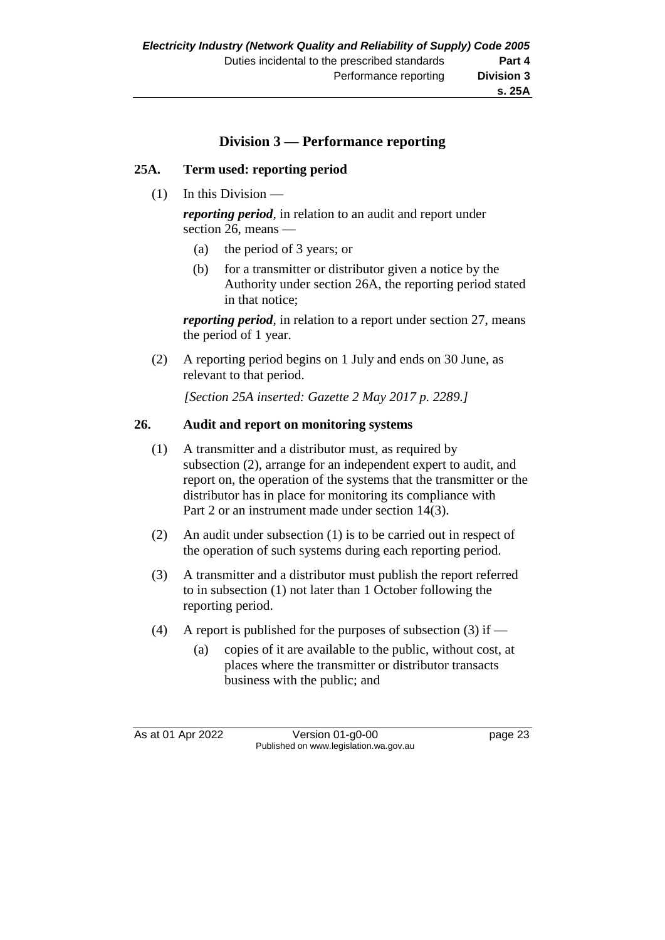### **Division 3 — Performance reporting**

#### **25A. Term used: reporting period**

 $(1)$  In this Division —

*reporting period*, in relation to an audit and report under section 26, means —

- (a) the period of 3 years; or
- (b) for a transmitter or distributor given a notice by the Authority under section 26A, the reporting period stated in that notice;

*reporting period*, in relation to a report under section 27, means the period of 1 year.

(2) A reporting period begins on 1 July and ends on 30 June, as relevant to that period.

*[Section 25A inserted: Gazette 2 May 2017 p. 2289.]*

#### **26. Audit and report on monitoring systems**

- (1) A transmitter and a distributor must, as required by subsection (2), arrange for an independent expert to audit, and report on, the operation of the systems that the transmitter or the distributor has in place for monitoring its compliance with Part 2 or an instrument made under section 14(3).
- (2) An audit under subsection (1) is to be carried out in respect of the operation of such systems during each reporting period.
- (3) A transmitter and a distributor must publish the report referred to in subsection (1) not later than 1 October following the reporting period.
- (4) A report is published for the purposes of subsection (3) if  $-$ 
	- (a) copies of it are available to the public, without cost, at places where the transmitter or distributor transacts business with the public; and

As at 01 Apr 2022 Version 01-g0-00 Published on www.legislation.wa.gov.au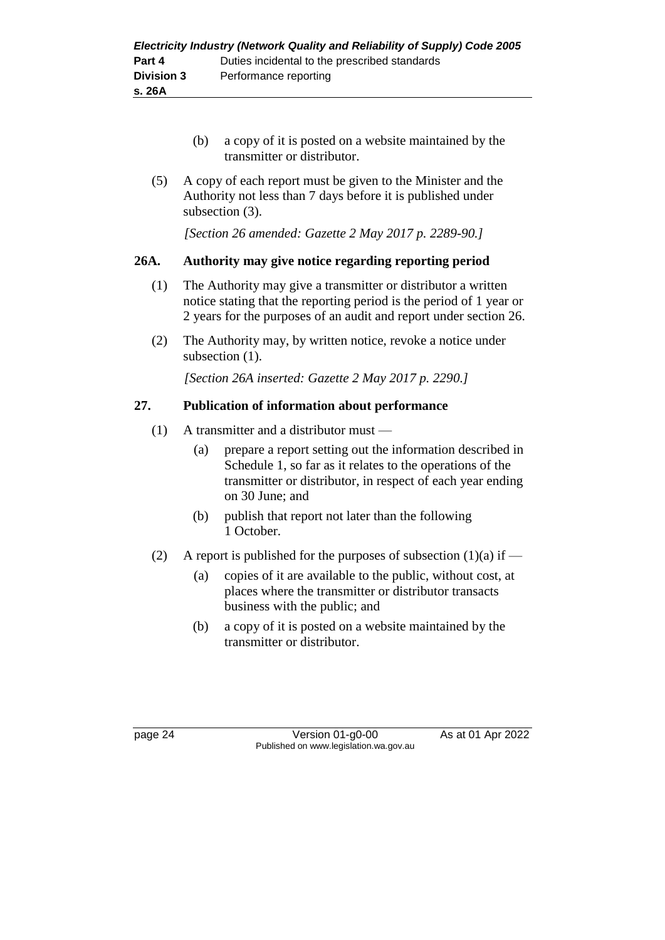- (b) a copy of it is posted on a website maintained by the transmitter or distributor.
- (5) A copy of each report must be given to the Minister and the Authority not less than 7 days before it is published under subsection (3).

*[Section 26 amended: Gazette 2 May 2017 p. 2289-90.]*

#### **26A. Authority may give notice regarding reporting period**

- (1) The Authority may give a transmitter or distributor a written notice stating that the reporting period is the period of 1 year or 2 years for the purposes of an audit and report under section 26.
- (2) The Authority may, by written notice, revoke a notice under subsection  $(1)$ .

*[Section 26A inserted: Gazette 2 May 2017 p. 2290.]*

#### **27. Publication of information about performance**

- (1) A transmitter and a distributor must
	- (a) prepare a report setting out the information described in Schedule 1, so far as it relates to the operations of the transmitter or distributor, in respect of each year ending on 30 June; and
	- (b) publish that report not later than the following 1 October.
- (2) A report is published for the purposes of subsection  $(1)(a)$  if
	- (a) copies of it are available to the public, without cost, at places where the transmitter or distributor transacts business with the public; and
	- (b) a copy of it is posted on a website maintained by the transmitter or distributor.

page 24 Version 01-g0-00 As at 01 Apr 2022 Published on www.legislation.wa.gov.au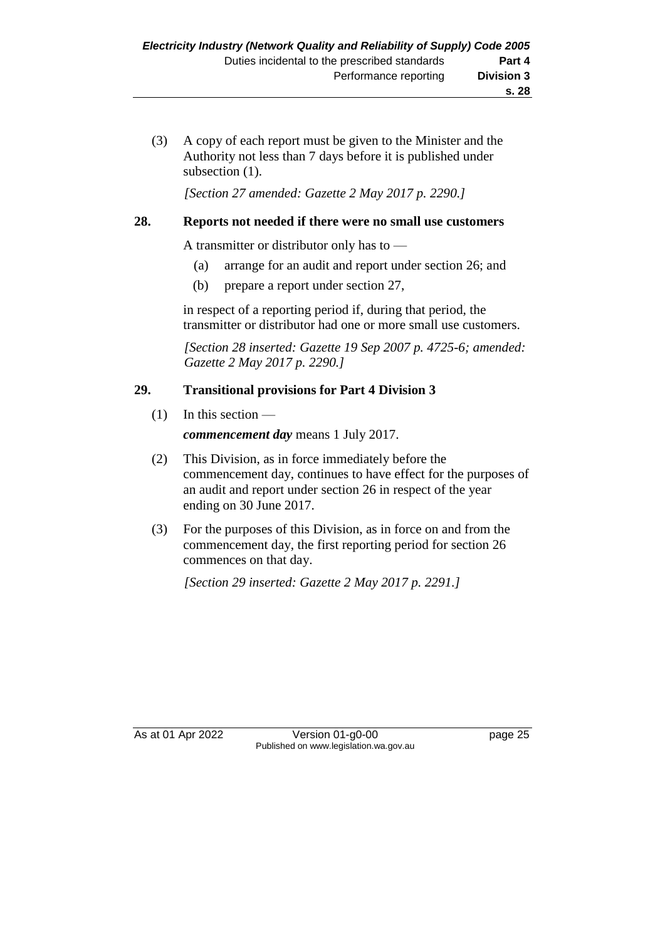(3) A copy of each report must be given to the Minister and the Authority not less than 7 days before it is published under subsection  $(1)$ .

*[Section 27 amended: Gazette 2 May 2017 p. 2290.]*

#### **28. Reports not needed if there were no small use customers**

A transmitter or distributor only has to —

- (a) arrange for an audit and report under section 26; and
- (b) prepare a report under section 27,

in respect of a reporting period if, during that period, the transmitter or distributor had one or more small use customers.

*[Section 28 inserted: Gazette 19 Sep 2007 p. 4725-6; amended: Gazette 2 May 2017 p. 2290.]*

#### **29. Transitional provisions for Part 4 Division 3**

 $(1)$  In this section —

*commencement day* means 1 July 2017.

- (2) This Division, as in force immediately before the commencement day, continues to have effect for the purposes of an audit and report under section 26 in respect of the year ending on 30 June 2017.
- (3) For the purposes of this Division, as in force on and from the commencement day, the first reporting period for section 26 commences on that day.

*[Section 29 inserted: Gazette 2 May 2017 p. 2291.]*

As at 01 Apr 2022 Version 01-g0-00 Published on www.legislation.wa.gov.au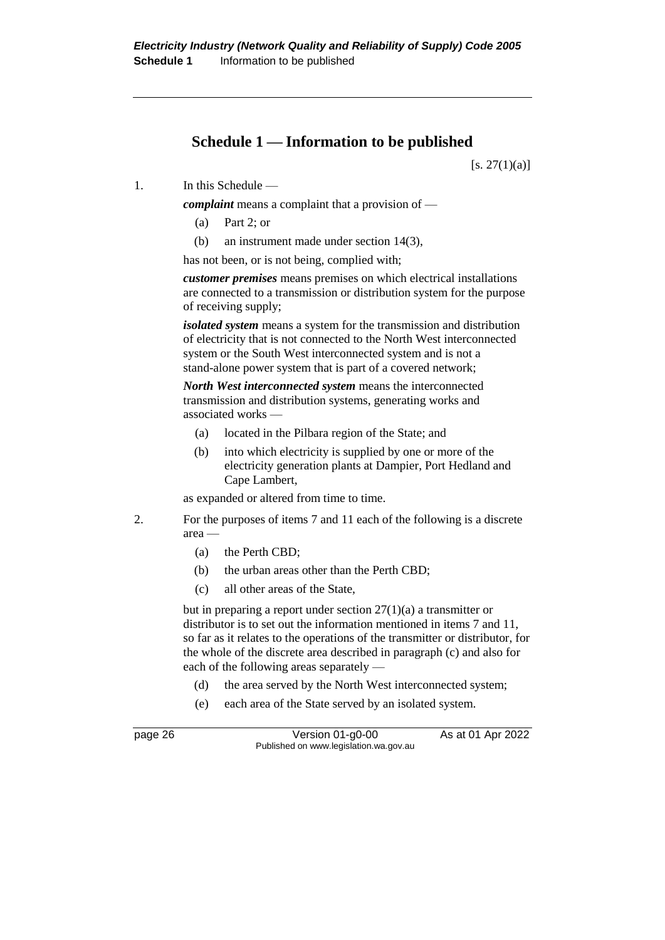## **Schedule 1 — Information to be published**

 $[s. 27(1)(a)]$ 

1. In this Schedule —

*complaint* means a complaint that a provision of —

- (a) Part 2; or
- (b) an instrument made under section 14(3),

has not been, or is not being, complied with;

*customer premises* means premises on which electrical installations are connected to a transmission or distribution system for the purpose of receiving supply;

*isolated system* means a system for the transmission and distribution of electricity that is not connected to the North West interconnected system or the South West interconnected system and is not a stand-alone power system that is part of a covered network;

*North West interconnected system* means the interconnected transmission and distribution systems, generating works and associated works —

- (a) located in the Pilbara region of the State; and
- (b) into which electricity is supplied by one or more of the electricity generation plants at Dampier, Port Hedland and Cape Lambert,

as expanded or altered from time to time.

- 2. For the purposes of items 7 and 11 each of the following is a discrete area —
	- (a) the Perth CBD;
	- (b) the urban areas other than the Perth CBD;
	- (c) all other areas of the State,

but in preparing a report under section 27(1)(a) a transmitter or distributor is to set out the information mentioned in items 7 and 11, so far as it relates to the operations of the transmitter or distributor, for the whole of the discrete area described in paragraph (c) and also for each of the following areas separately —

- (d) the area served by the North West interconnected system;
- (e) each area of the State served by an isolated system.

page 26 **Version 01-g0-00** As at 01 Apr 2022 Published on www.legislation.wa.gov.au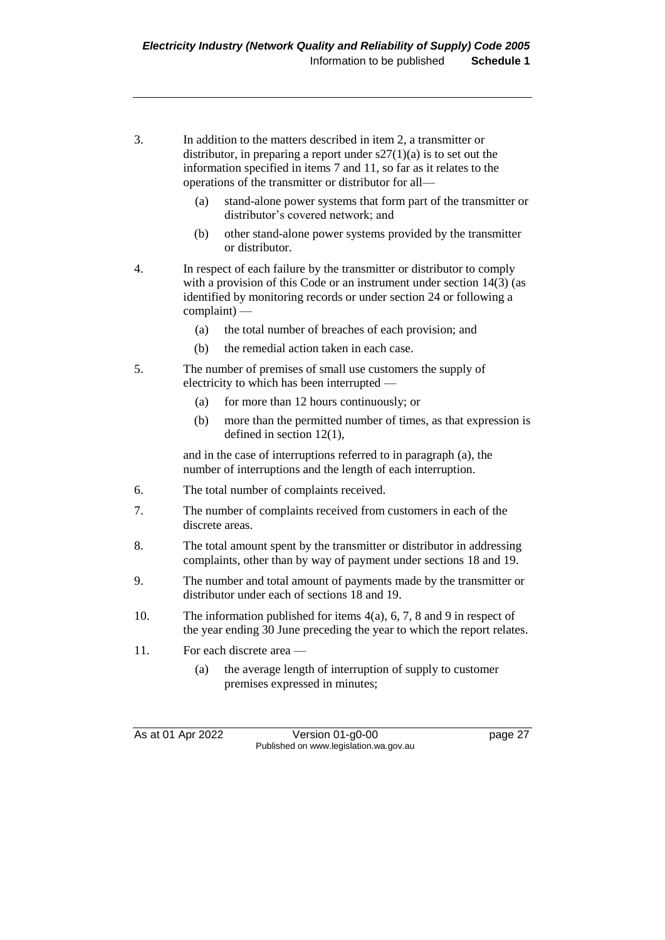- 3. In addition to the matters described in item 2, a transmitter or distributor, in preparing a report under  $s27(1)(a)$  is to set out the information specified in items 7 and 11, so far as it relates to the operations of the transmitter or distributor for all—
	- (a) stand-alone power systems that form part of the transmitter or distributor's covered network; and
	- (b) other stand-alone power systems provided by the transmitter or distributor.
- 4. In respect of each failure by the transmitter or distributor to comply with a provision of this Code or an instrument under section 14(3) (as identified by monitoring records or under section 24 or following a complaint) —
	- (a) the total number of breaches of each provision; and
	- (b) the remedial action taken in each case.
- 5. The number of premises of small use customers the supply of electricity to which has been interrupted —
	- (a) for more than 12 hours continuously; or
	- (b) more than the permitted number of times, as that expression is defined in section 12(1),

and in the case of interruptions referred to in paragraph (a), the number of interruptions and the length of each interruption.

- 6. The total number of complaints received.
- 7. The number of complaints received from customers in each of the discrete areas.
- 8. The total amount spent by the transmitter or distributor in addressing complaints, other than by way of payment under sections 18 and 19.
- 9. The number and total amount of payments made by the transmitter or distributor under each of sections 18 and 19.
- 10. The information published for items 4(a), 6, 7, 8 and 9 in respect of the year ending 30 June preceding the year to which the report relates.
- 11. For each discrete area
	- (a) the average length of interruption of supply to customer premises expressed in minutes;

As at 01 Apr 2022 Version 01-g0-00 page 27 Published on www.legislation.wa.gov.au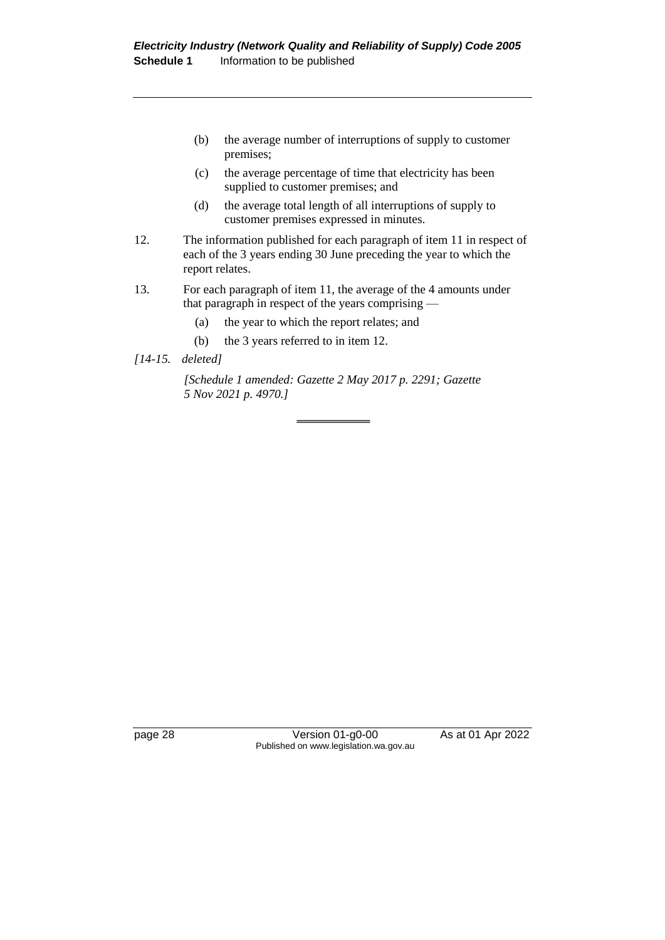- (b) the average number of interruptions of supply to customer premises;
- (c) the average percentage of time that electricity has been supplied to customer premises; and
- (d) the average total length of all interruptions of supply to customer premises expressed in minutes.
- 12. The information published for each paragraph of item 11 in respect of each of the 3 years ending 30 June preceding the year to which the report relates.
- 13. For each paragraph of item 11, the average of the 4 amounts under that paragraph in respect of the years comprising —
	- (a) the year to which the report relates; and
	- (b) the 3 years referred to in item 12.
- *[14-15. deleted]*

*[Schedule 1 amended: Gazette 2 May 2017 p. 2291; Gazette 5 Nov 2021 p. 4970.]*

page 28 Version 01-g0-00 As at 01 Apr 2022 Published on www.legislation.wa.gov.au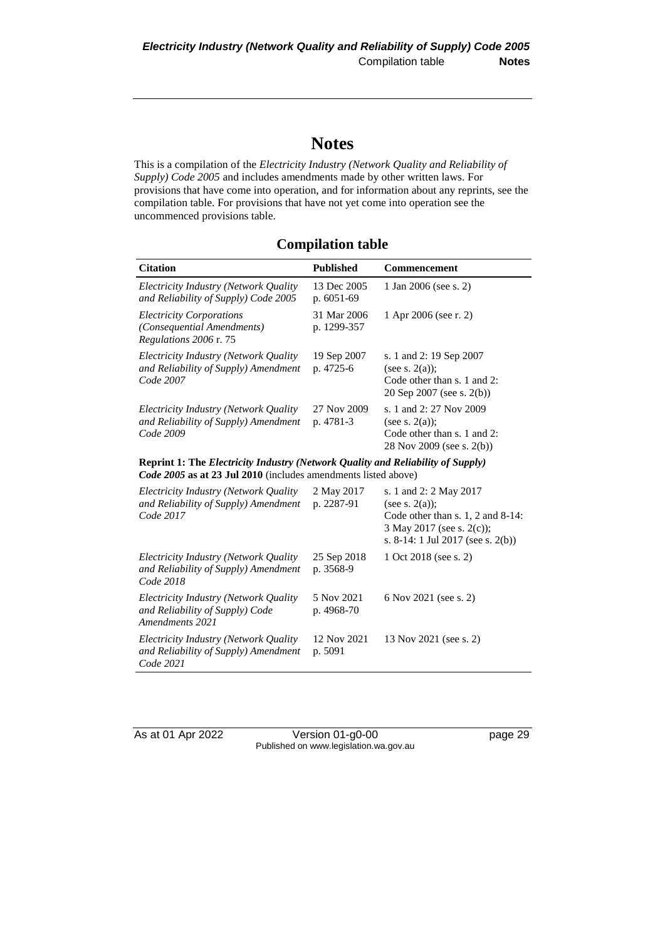## **Notes**

This is a compilation of the *Electricity Industry (Network Quality and Reliability of Supply) Code 2005* and includes amendments made by other written laws. For provisions that have come into operation, and for information about any reprints, see the compilation table. For provisions that have not yet come into operation see the uncommenced provisions table.

#### **Compilation table**

| <b>Citation</b>                                                                                                                                                 | <b>Published</b>            | Commencement                                                                                                       |  |  |
|-----------------------------------------------------------------------------------------------------------------------------------------------------------------|-----------------------------|--------------------------------------------------------------------------------------------------------------------|--|--|
| Electricity Industry (Network Quality<br>and Reliability of Supply) Code 2005                                                                                   | 13 Dec 2005<br>p. $6051-69$ | 1 Jan 2006 (see s. 2)                                                                                              |  |  |
| <b>Electricity Corporations</b><br><i>(Consequential Amendments)</i><br><i>Regulations 2006 r. 75</i>                                                           | 31 Mar 2006<br>p. 1299-357  | 1 Apr 2006 (see r. 2)                                                                                              |  |  |
| Electricity Industry (Network Quality<br>and Reliability of Supply) Amendment<br>Code 2007                                                                      | 19 Sep 2007<br>p. 4725-6    | s. 1 and 2: 19 Sep 2007<br>(see s. $2(a)$ );<br>Code other than s. 1 and 2:<br>20 Sep 2007 (see s. 2(b))           |  |  |
| Electricity Industry (Network Quality<br>and Reliability of Supply) Amendment<br>Code 2009                                                                      | 27 Nov 2009<br>p. 4781-3    | s. 1 and 2: 27 Nov 2009<br>(see s. $2(a)$ );<br>Code other than s. 1 and 2:<br>28 Nov 2009 (see s. 2(b))           |  |  |
| <b>Reprint 1: The Electricity Industry (Network Quality and Reliability of Supply)</b><br><i>Code 2005</i> as at 23 Jul 2010 (includes amendments listed above) |                             |                                                                                                                    |  |  |
| Electricity Industry (Network Quality<br>and Reliability of Supply) Amendment<br>Code 2017                                                                      | 2 May 2017<br>p. 2287-91    | s. 1 and 2: 2 May 2017<br>(see s. $2(a)$ );<br>Code other than s. $1, 2$ and $8-14$ :<br>3 May 2017 (see s. 2(c)); |  |  |

*Code 2018*

*Code 2021*

*Amendments 2021*

*Electricity Industry (Network Quality and Reliability of Supply) Amendment* 

*Electricity Industry (Network Quality and Reliability of Supply) Code* 

*Electricity Industry (Network Quality and Reliability of Supply) Amendment* 

As at 01 Apr 2022 Version 01-g0-00 page 29 Published on www.legislation.wa.gov.au

25 Sep 2018 p. 3568-9

5 Nov 2021 p. 4968-70

12 Nov 2021 p. 5091

s. 8-14: 1 Jul 2017 (see s. 2(b))

1 Oct 2018 (see s. 2)

6 Nov 2021 (see s. 2)

13 Nov 2021 (see s. 2)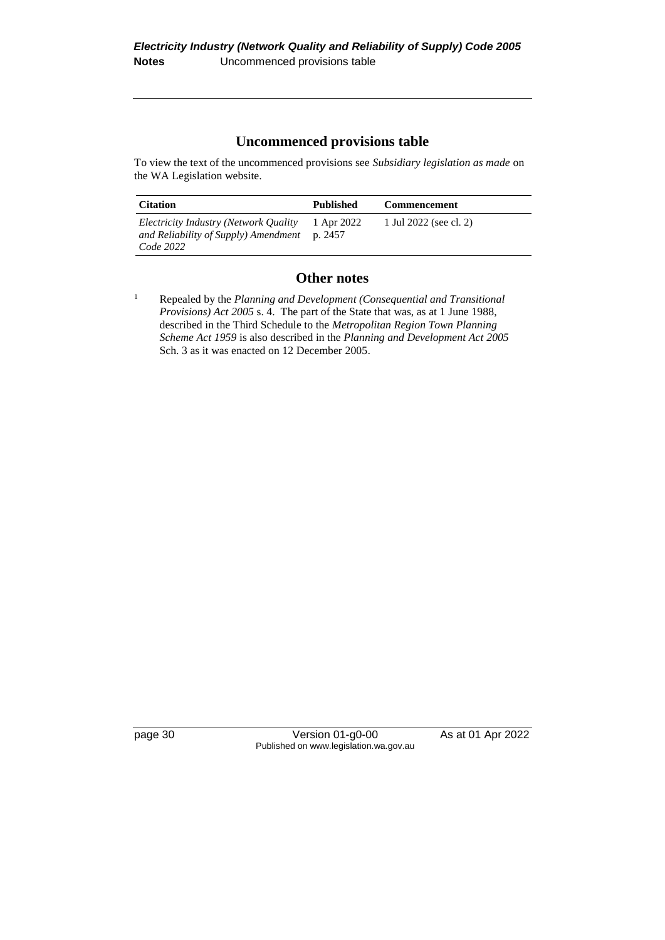#### **Uncommenced provisions table**

To view the text of the uncommenced provisions see *Subsidiary legislation as made* on the WA Legislation website.

| <b>Citation</b>                                                                                      | <b>Published</b> | <b>Commencement</b>    |
|------------------------------------------------------------------------------------------------------|------------------|------------------------|
| Electricity Industry (Network Quality<br>and Reliability of Supply) Amendment $p. 2457$<br>Code 2022 | 1 Apr 2022       | 1 Jul 2022 (see cl. 2) |

#### **Other notes**

page 30 Version 01-g0-00 As at 01 Apr 2022 Published on www.legislation.wa.gov.au

<sup>1</sup> Repealed by the *Planning and Development (Consequential and Transitional Provisions) Act 2005* s. 4. The part of the State that was, as at 1 June 1988, described in the Third Schedule to the *Metropolitan Region Town Planning Scheme Act 1959* is also described in the *Planning and Development Act 2005* Sch. 3 as it was enacted on 12 December 2005.